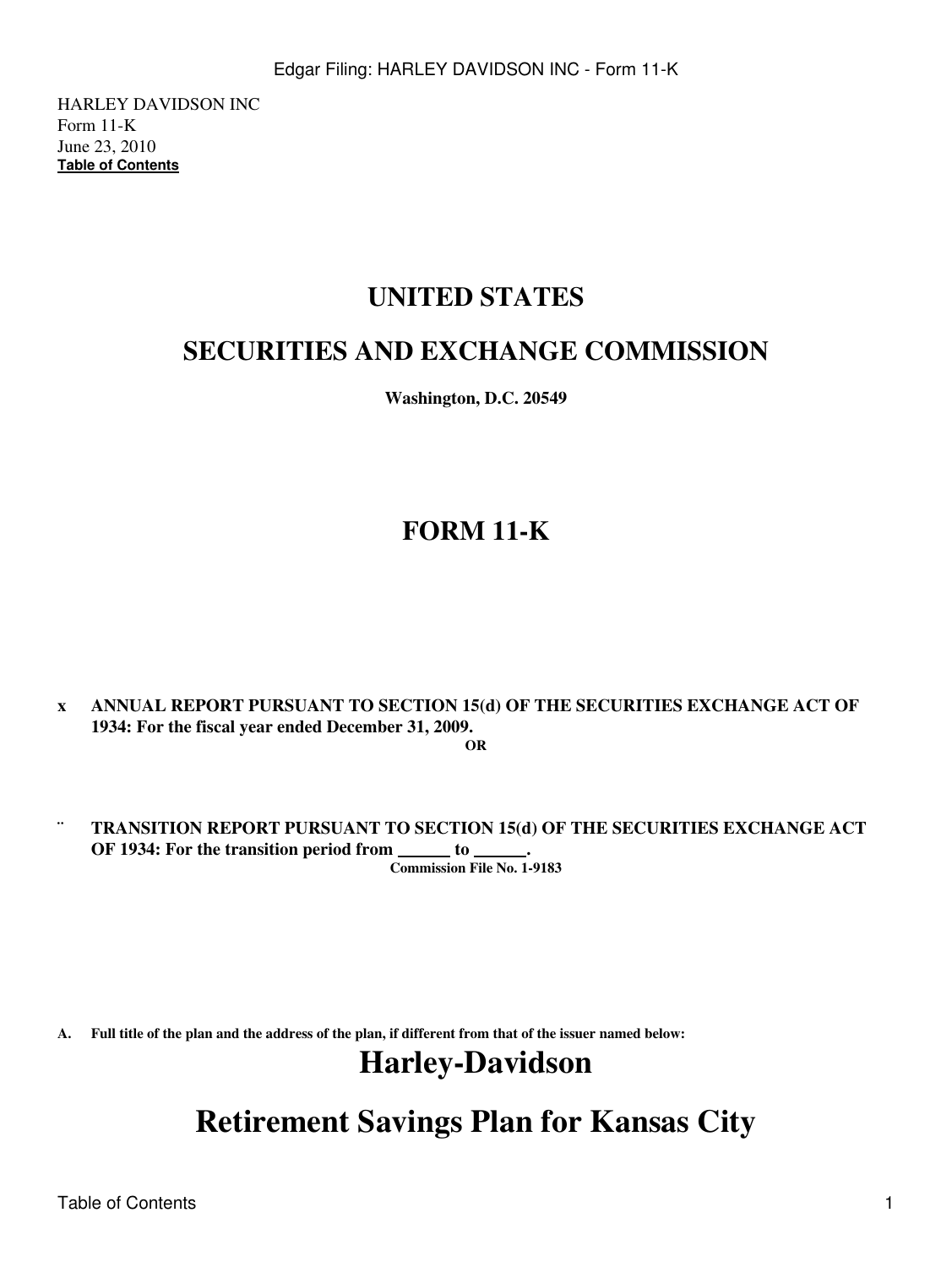HARLEY DAVIDSON INC Form 11-K June 23, 2010 **[Table of Contents](#page-4-0)**

# **UNITED STATES**

# **SECURITIES AND EXCHANGE COMMISSION**

**Washington, D.C. 20549**

# **FORM 11-K**

- **x ANNUAL REPORT PURSUANT TO SECTION 15(d) OF THE SECURITIES EXCHANGE ACT OF 1934: For the fiscal year ended December 31, 2009. OR**
- **¨ TRANSITION REPORT PURSUANT TO SECTION 15(d) OF THE SECURITIES EXCHANGE ACT OF 1934: For the transition period from \_\_\_\_\_ to \_ Commission File No. 1-9183**

**A. Full title of the plan and the address of the plan, if different from that of the issuer named below:**

# **Harley-Davidson**

**Retirement Savings Plan for Kansas City**

Table of Contents 1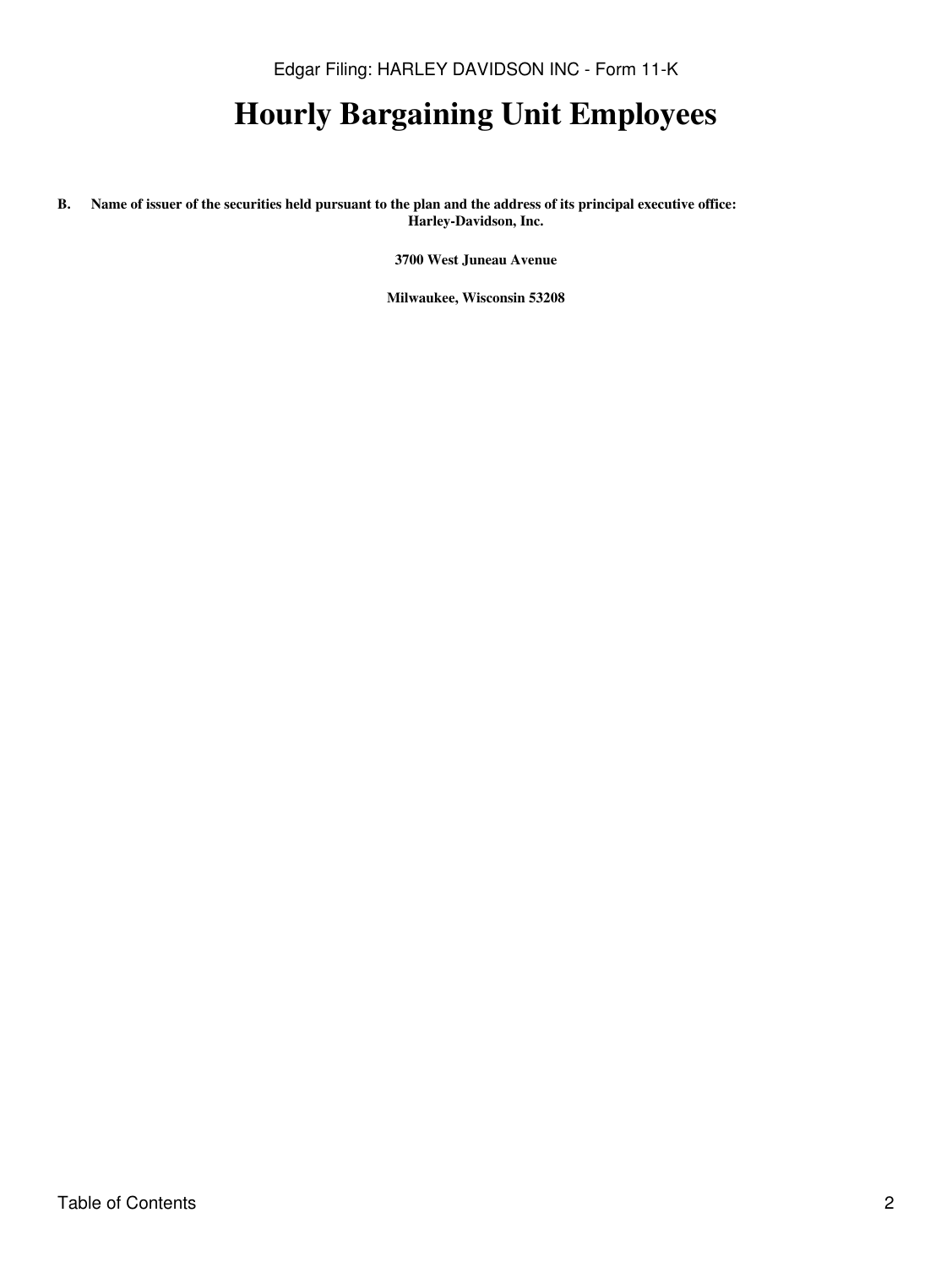Edgar Filing: HARLEY DAVIDSON INC - Form 11-K

# **Hourly Bargaining Unit Employees**

**B. Name of issuer of the securities held pursuant to the plan and the address of its principal executive office: Harley-Davidson, Inc.**

**3700 West Juneau Avenue**

**Milwaukee, Wisconsin 53208**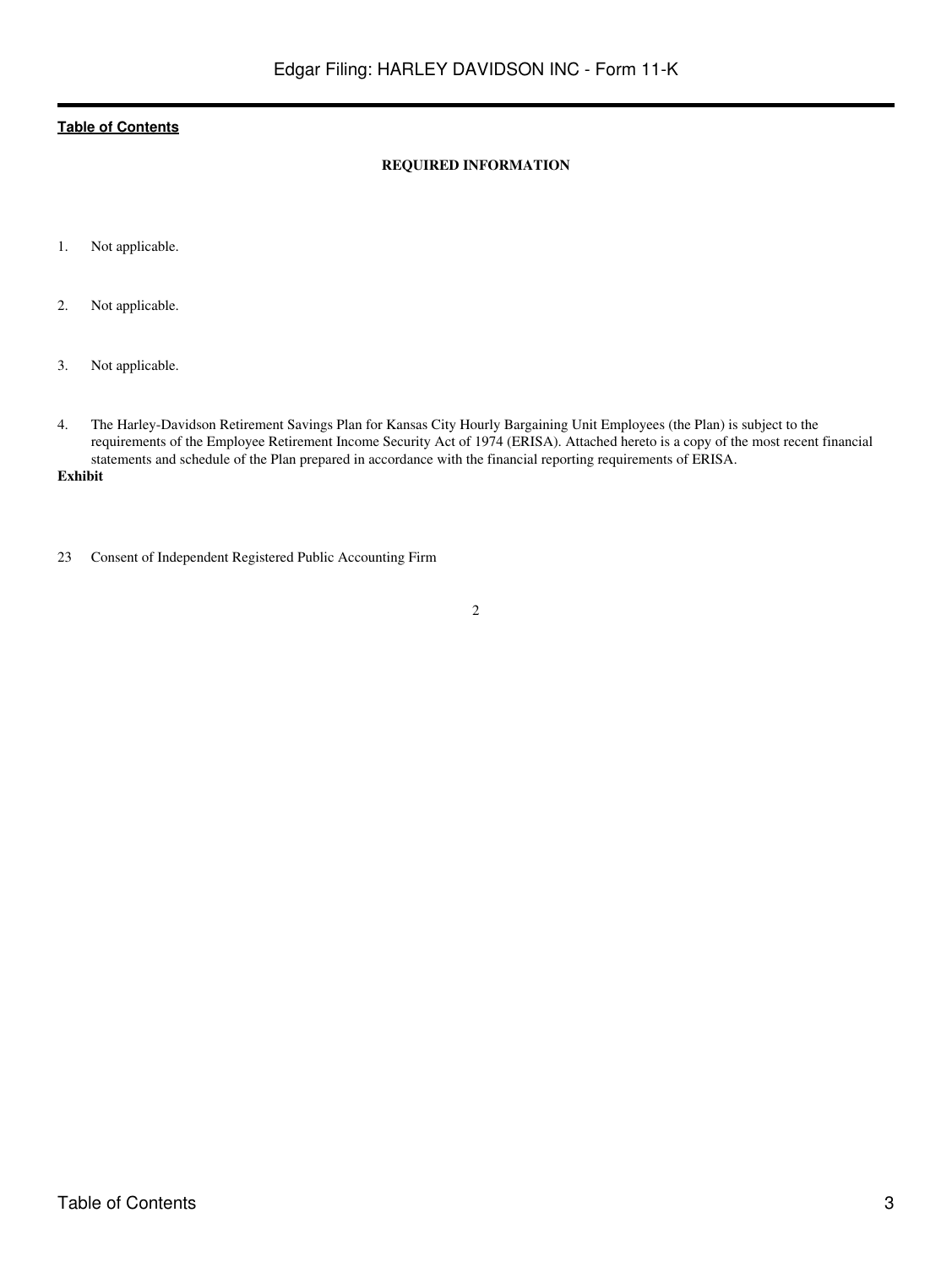# **REQUIRED INFORMATION**

- 1. Not applicable.
- 2. Not applicable.
- 3. Not applicable.
- 4. The Harley-Davidson Retirement Savings Plan for Kansas City Hourly Bargaining Unit Employees (the Plan) is subject to the requirements of the Employee Retirement Income Security Act of 1974 (ERISA). Attached hereto is a copy of the most recent financial statements and schedule of the Plan prepared in accordance with the financial reporting requirements of ERISA.
- **Exhibit**
- 23 Consent of Independent Registered Public Accounting Firm
- 2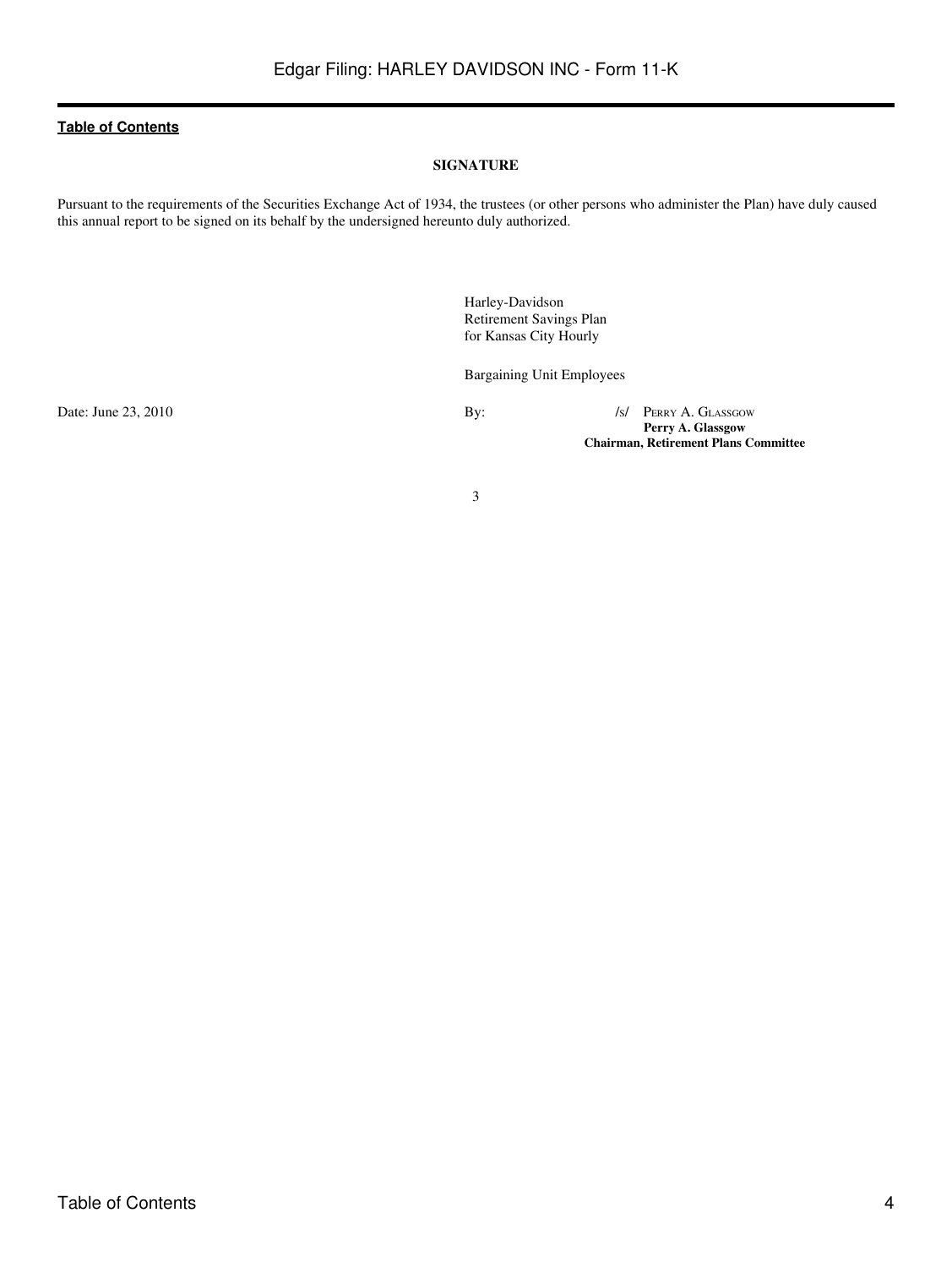#### **SIGNATURE**

Pursuant to the requirements of the Securities Exchange Act of 1934, the trustees (or other persons who administer the Plan) have duly caused this annual report to be signed on its behalf by the undersigned hereunto duly authorized.

> Harley-Davidson Retirement Savings Plan for Kansas City Hourly

Bargaining Unit Employees

Date: June 23, 2010 By: /S/ PERRY A. GLASSGOW **Perry A. Glassgow Chairman, Retirement Plans Committee**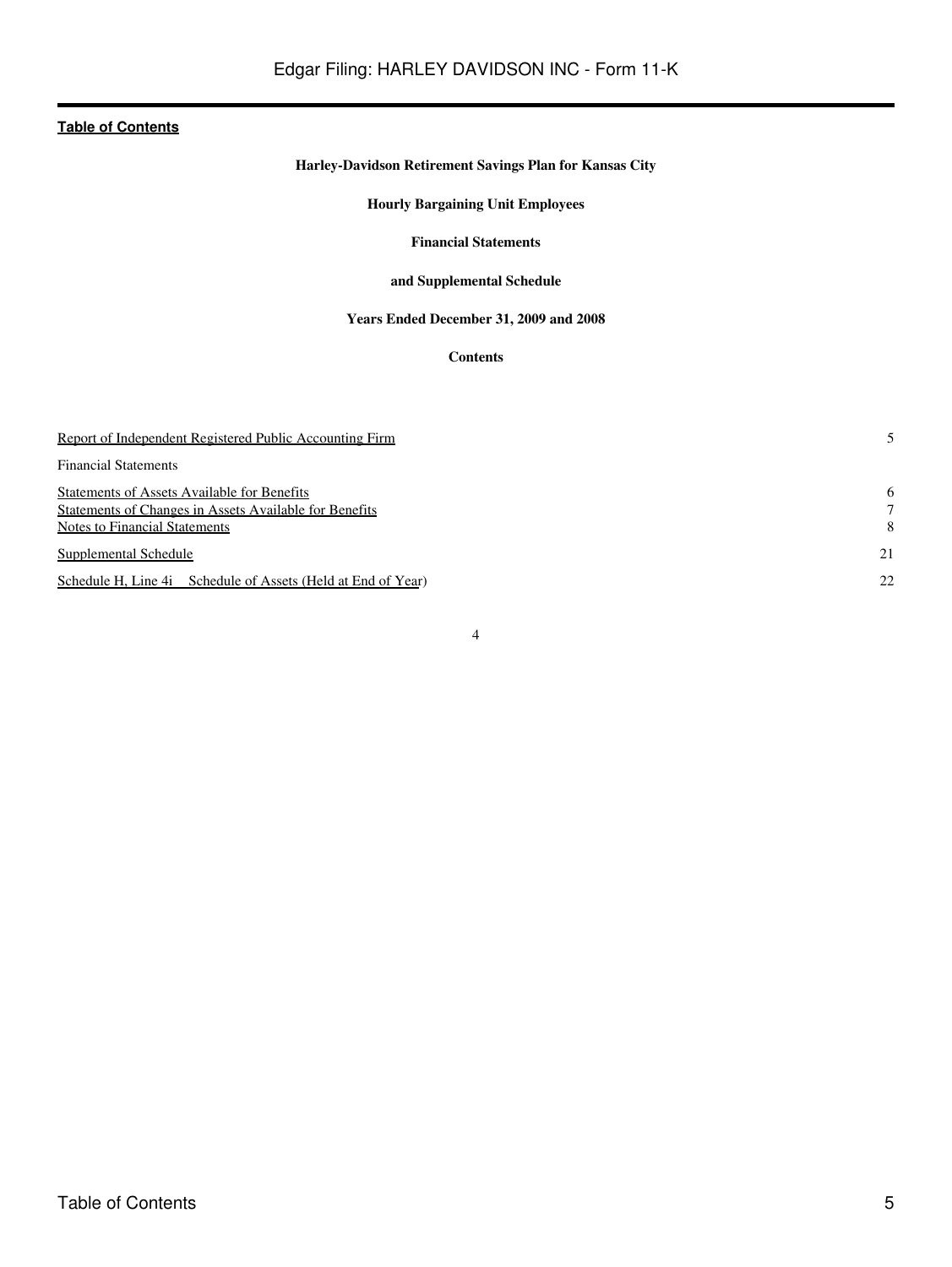# **Harley-Davidson Retirement Savings Plan for Kansas City**

# **Hourly Bargaining Unit Employees**

#### **Financial Statements**

# **and Supplemental Schedule**

# **Years Ended December 31, 2009 and 2008**

# **Contents**

<span id="page-4-0"></span>

| Report of Independent Registered Public Accounting Firm                                                                                |             |
|----------------------------------------------------------------------------------------------------------------------------------------|-------------|
| <b>Financial Statements</b>                                                                                                            |             |
| Statements of Assets Available for Benefits<br>Statements of Changes in Assets Available for Benefits<br>Notes to Financial Statements | 6<br>7<br>8 |
| Supplemental Schedule                                                                                                                  | 21          |
| Schedule H, Line 4i Schedule of Assets (Held at End of Year)                                                                           | 22          |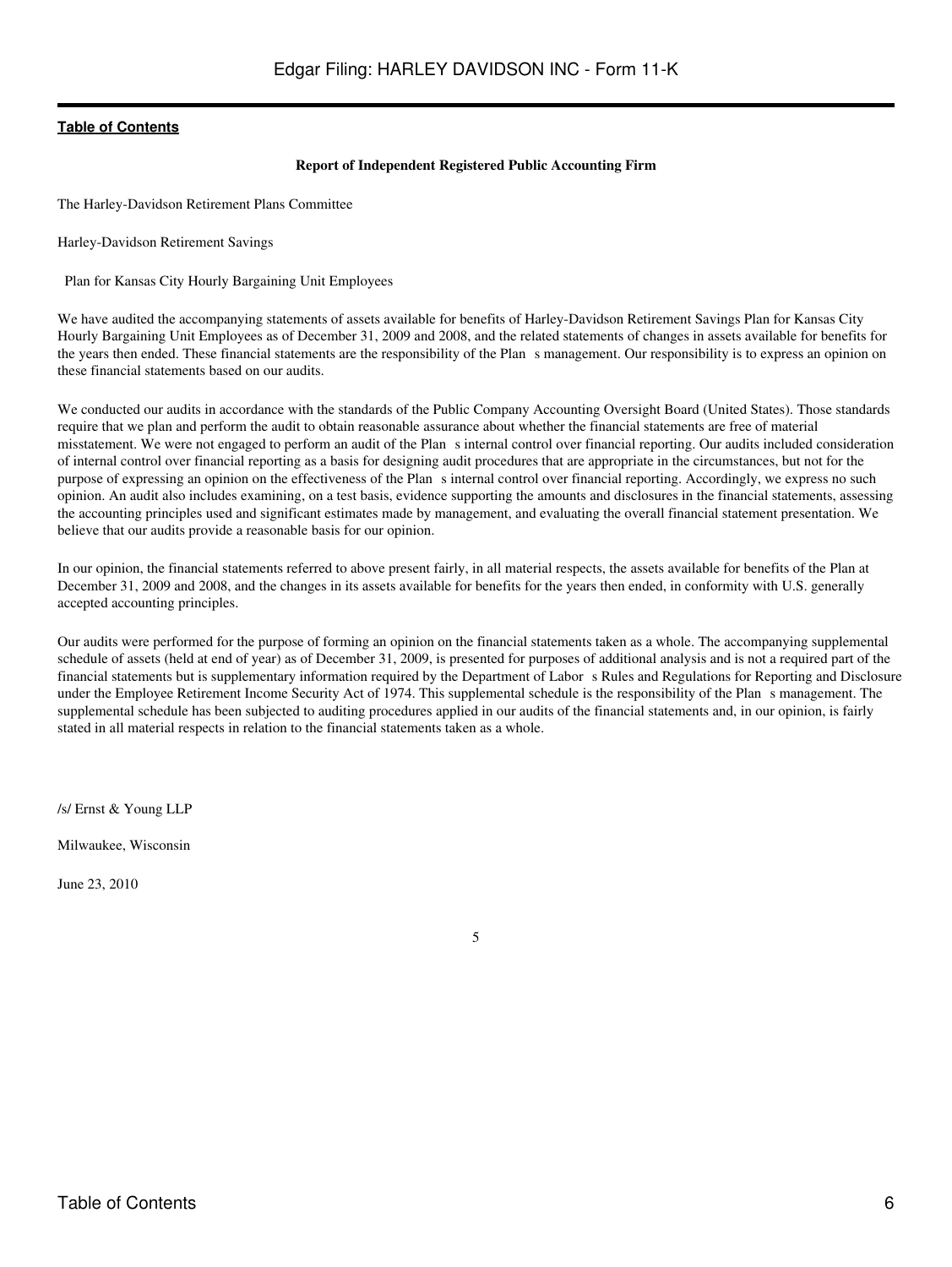#### **Report of Independent Registered Public Accounting Firm**

<span id="page-5-0"></span>The Harley-Davidson Retirement Plans Committee

Harley-Davidson Retirement Savings

Plan for Kansas City Hourly Bargaining Unit Employees

We have audited the accompanying statements of assets available for benefits of Harley-Davidson Retirement Savings Plan for Kansas City Hourly Bargaining Unit Employees as of December 31, 2009 and 2008, and the related statements of changes in assets available for benefits for the years then ended. These financial statements are the responsibility of the Plans management. Our responsibility is to express an opinion on these financial statements based on our audits.

We conducted our audits in accordance with the standards of the Public Company Accounting Oversight Board (United States). Those standards require that we plan and perform the audit to obtain reasonable assurance about whether the financial statements are free of material misstatement. We were not engaged to perform an audit of the Plan s internal control over financial reporting. Our audits included consideration of internal control over financial reporting as a basis for designing audit procedures that are appropriate in the circumstances, but not for the purpose of expressing an opinion on the effectiveness of the Plans internal control over financial reporting. Accordingly, we express no such opinion. An audit also includes examining, on a test basis, evidence supporting the amounts and disclosures in the financial statements, assessing the accounting principles used and significant estimates made by management, and evaluating the overall financial statement presentation. We believe that our audits provide a reasonable basis for our opinion.

In our opinion, the financial statements referred to above present fairly, in all material respects, the assets available for benefits of the Plan at December 31, 2009 and 2008, and the changes in its assets available for benefits for the years then ended, in conformity with U.S. generally accepted accounting principles.

Our audits were performed for the purpose of forming an opinion on the financial statements taken as a whole. The accompanying supplemental schedule of assets (held at end of year) as of December 31, 2009, is presented for purposes of additional analysis and is not a required part of the financial statements but is supplementary information required by the Department of Labor s Rules and Regulations for Reporting and Disclosure under the Employee Retirement Income Security Act of 1974. This supplemental schedule is the responsibility of the Plans management. The supplemental schedule has been subjected to auditing procedures applied in our audits of the financial statements and, in our opinion, is fairly stated in all material respects in relation to the financial statements taken as a whole.

/s/ Ernst & Young LLP

Milwaukee, Wisconsin

June 23, 2010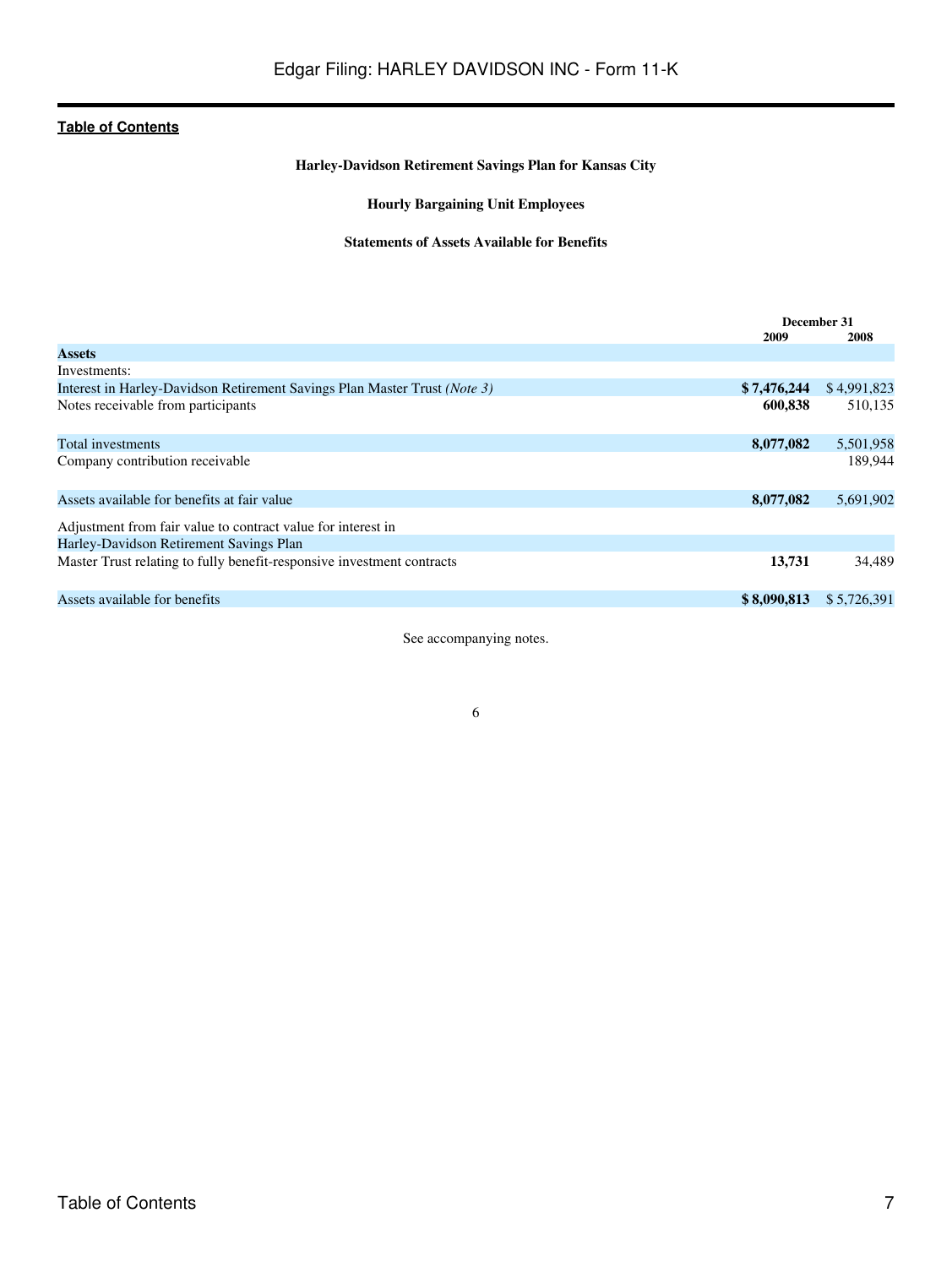# **Harley-Davidson Retirement Savings Plan for Kansas City**

# **Hourly Bargaining Unit Employees**

### **Statements of Assets Available for Benefits**

<span id="page-6-0"></span>

|                                                                           | December 31 |             |
|---------------------------------------------------------------------------|-------------|-------------|
|                                                                           | 2009        | 2008        |
| <b>Assets</b>                                                             |             |             |
| Investments:                                                              |             |             |
| Interest in Harley-Davidson Retirement Savings Plan Master Trust (Note 3) | \$7,476,244 | \$4,991,823 |
| Notes receivable from participants                                        | 600,838     | 510,135     |
|                                                                           |             |             |
| Total investments                                                         | 8,077,082   | 5,501,958   |
| Company contribution receivable                                           |             | 189.944     |
|                                                                           |             |             |
| Assets available for benefits at fair value                               | 8,077,082   | 5,691,902   |
|                                                                           |             |             |
| Adjustment from fair value to contract value for interest in              |             |             |
| Harley-Davidson Retirement Savings Plan                                   |             |             |
| Master Trust relating to fully benefit-responsive investment contracts    | 13,731      | 34,489      |
|                                                                           |             |             |
| Assets available for benefits                                             | \$8,090,813 | \$5,726,391 |
|                                                                           |             |             |

See accompanying notes.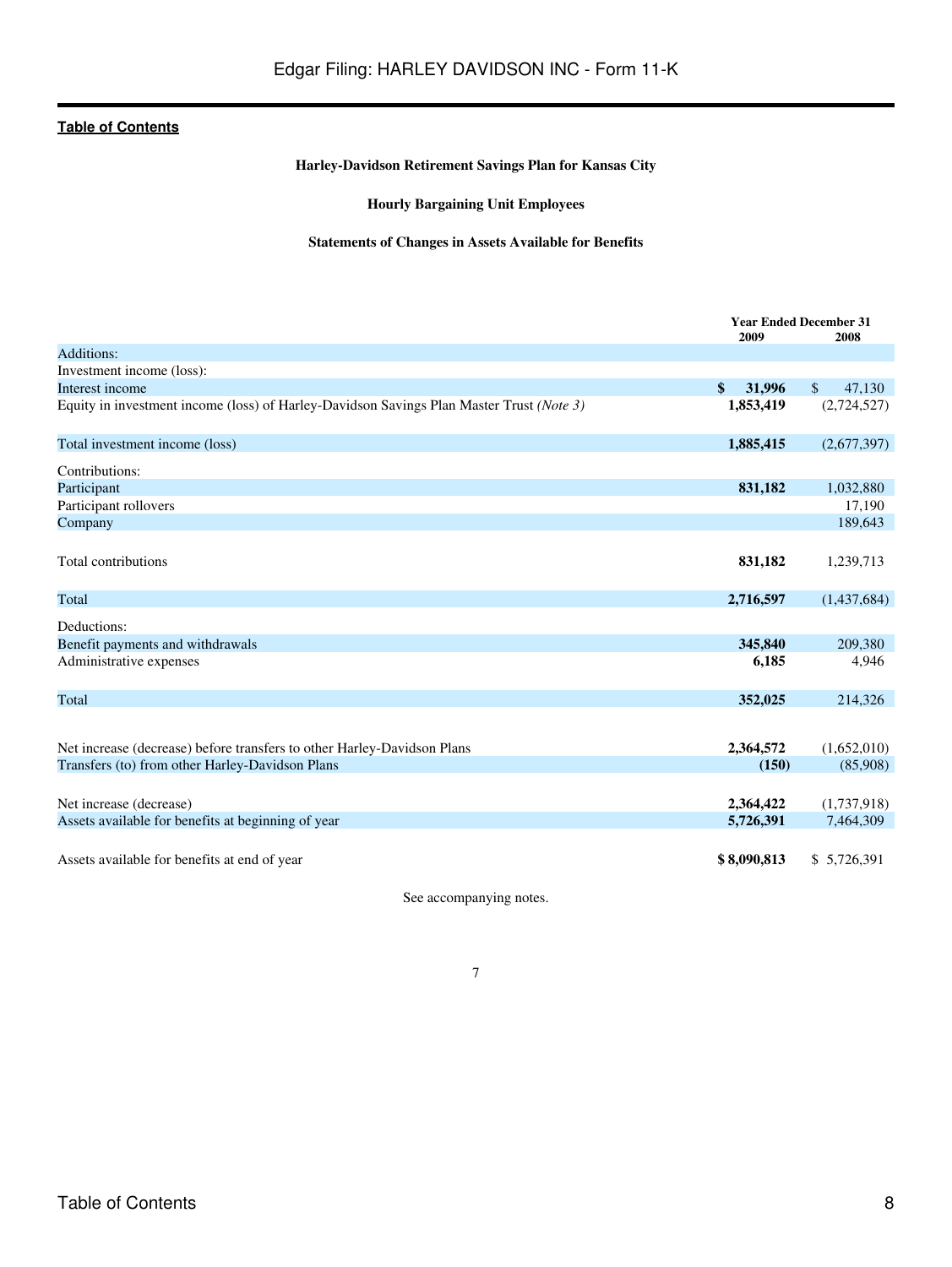# **Harley-Davidson Retirement Savings Plan for Kansas City**

# **Hourly Bargaining Unit Employees**

# **Statements of Changes in Assets Available for Benefits**

<span id="page-7-0"></span>

|                                                                                          | <b>Year Ended December 31</b><br>2009<br>2008 |                        |
|------------------------------------------------------------------------------------------|-----------------------------------------------|------------------------|
| Additions:                                                                               |                                               |                        |
| Investment income (loss):                                                                |                                               |                        |
| Interest income                                                                          | \$<br>31,996                                  | 47,130<br>$\mathbb{S}$ |
| Equity in investment income (loss) of Harley-Davidson Savings Plan Master Trust (Note 3) | 1,853,419                                     | (2,724,527)            |
| Total investment income (loss)                                                           | 1,885,415                                     | (2,677,397)            |
| Contributions:                                                                           |                                               |                        |
| Participant                                                                              | 831,182                                       | 1,032,880              |
| Participant rollovers                                                                    |                                               | 17,190                 |
| Company                                                                                  |                                               | 189,643                |
| Total contributions                                                                      | 831,182                                       | 1,239,713              |
| Total                                                                                    | 2,716,597                                     | (1,437,684)            |
| Deductions:                                                                              |                                               |                        |
| Benefit payments and withdrawals                                                         | 345,840                                       | 209,380                |
| Administrative expenses                                                                  | 6,185                                         | 4,946                  |
| Total                                                                                    | 352,025                                       | 214,326                |
|                                                                                          |                                               |                        |
| Net increase (decrease) before transfers to other Harley-Davidson Plans                  | 2,364,572                                     | (1,652,010)            |
| Transfers (to) from other Harley-Davidson Plans                                          | (150)                                         | (85,908)               |
|                                                                                          |                                               |                        |
| Net increase (decrease)                                                                  | 2,364,422                                     | (1,737,918)            |
| Assets available for benefits at beginning of year                                       | 5,726,391                                     | 7,464,309              |
| Assets available for benefits at end of year                                             | \$8,090,813                                   | \$5,726,391            |

See accompanying notes.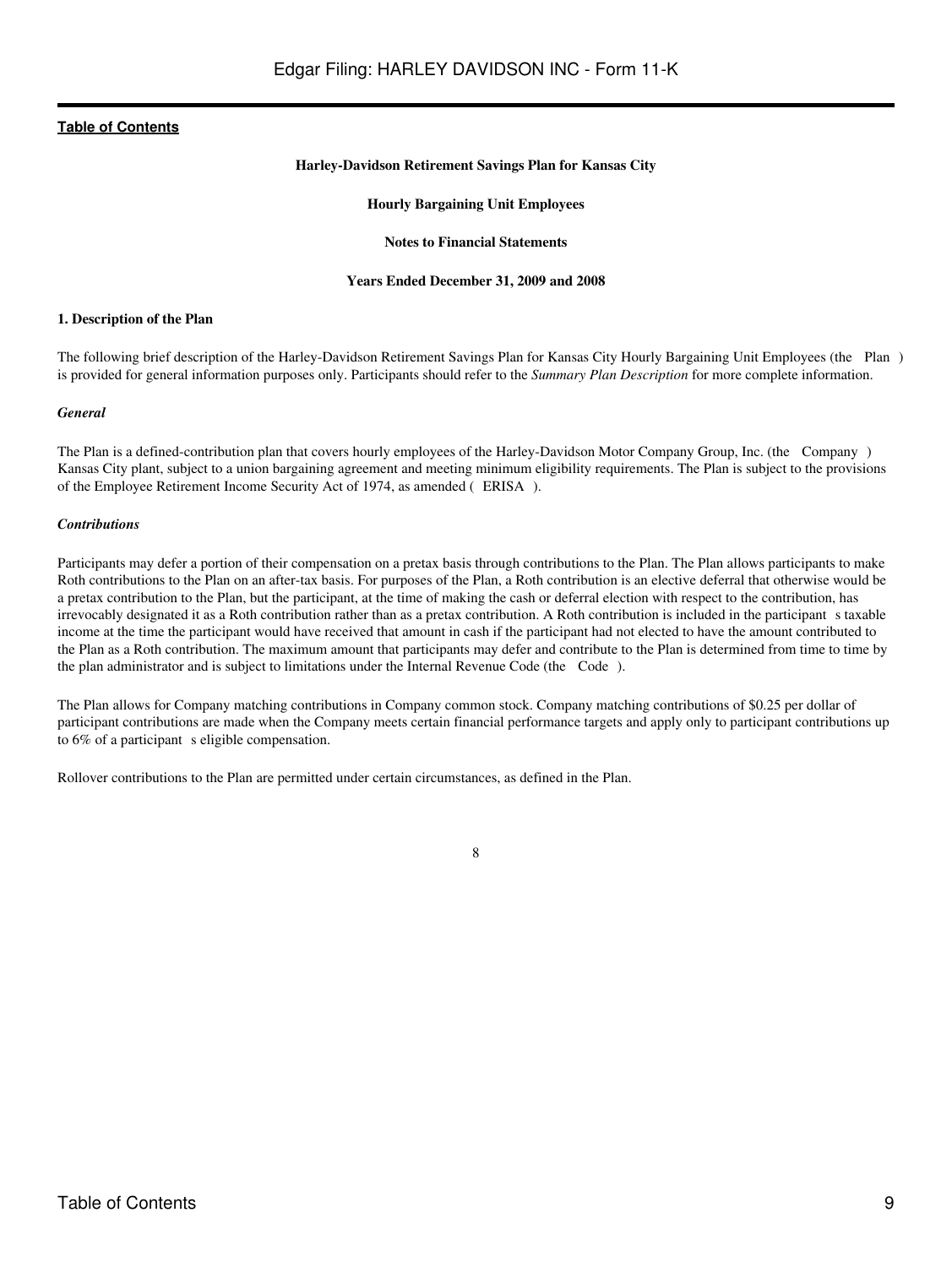#### **Harley-Davidson Retirement Savings Plan for Kansas City**

#### **Hourly Bargaining Unit Employees**

#### **Notes to Financial Statements**

#### **Years Ended December 31, 2009 and 2008**

#### <span id="page-8-0"></span>**1. Description of the Plan**

The following brief description of the Harley-Davidson Retirement Savings Plan for Kansas City Hourly Bargaining Unit Employees (the Plan) is provided for general information purposes only. Participants should refer to the *Summary Plan Description* for more complete information.

#### *General*

The Plan is a defined-contribution plan that covers hourly employees of the Harley-Davidson Motor Company Group, Inc. (the Company) Kansas City plant, subject to a union bargaining agreement and meeting minimum eligibility requirements. The Plan is subject to the provisions of the Employee Retirement Income Security Act of 1974, as amended (ERISA).

#### *Contributions*

Participants may defer a portion of their compensation on a pretax basis through contributions to the Plan. The Plan allows participants to make Roth contributions to the Plan on an after-tax basis. For purposes of the Plan, a Roth contribution is an elective deferral that otherwise would be a pretax contribution to the Plan, but the participant, at the time of making the cash or deferral election with respect to the contribution, has irrevocably designated it as a Roth contribution rather than as a pretax contribution. A Roth contribution is included in the participants taxable income at the time the participant would have received that amount in cash if the participant had not elected to have the amount contributed to the Plan as a Roth contribution. The maximum amount that participants may defer and contribute to the Plan is determined from time to time by the plan administrator and is subject to limitations under the Internal Revenue Code (the Code).

The Plan allows for Company matching contributions in Company common stock. Company matching contributions of \$0.25 per dollar of participant contributions are made when the Company meets certain financial performance targets and apply only to participant contributions up to  $6\%$  of a participant s eligible compensation.

Rollover contributions to the Plan are permitted under certain circumstances, as defined in the Plan.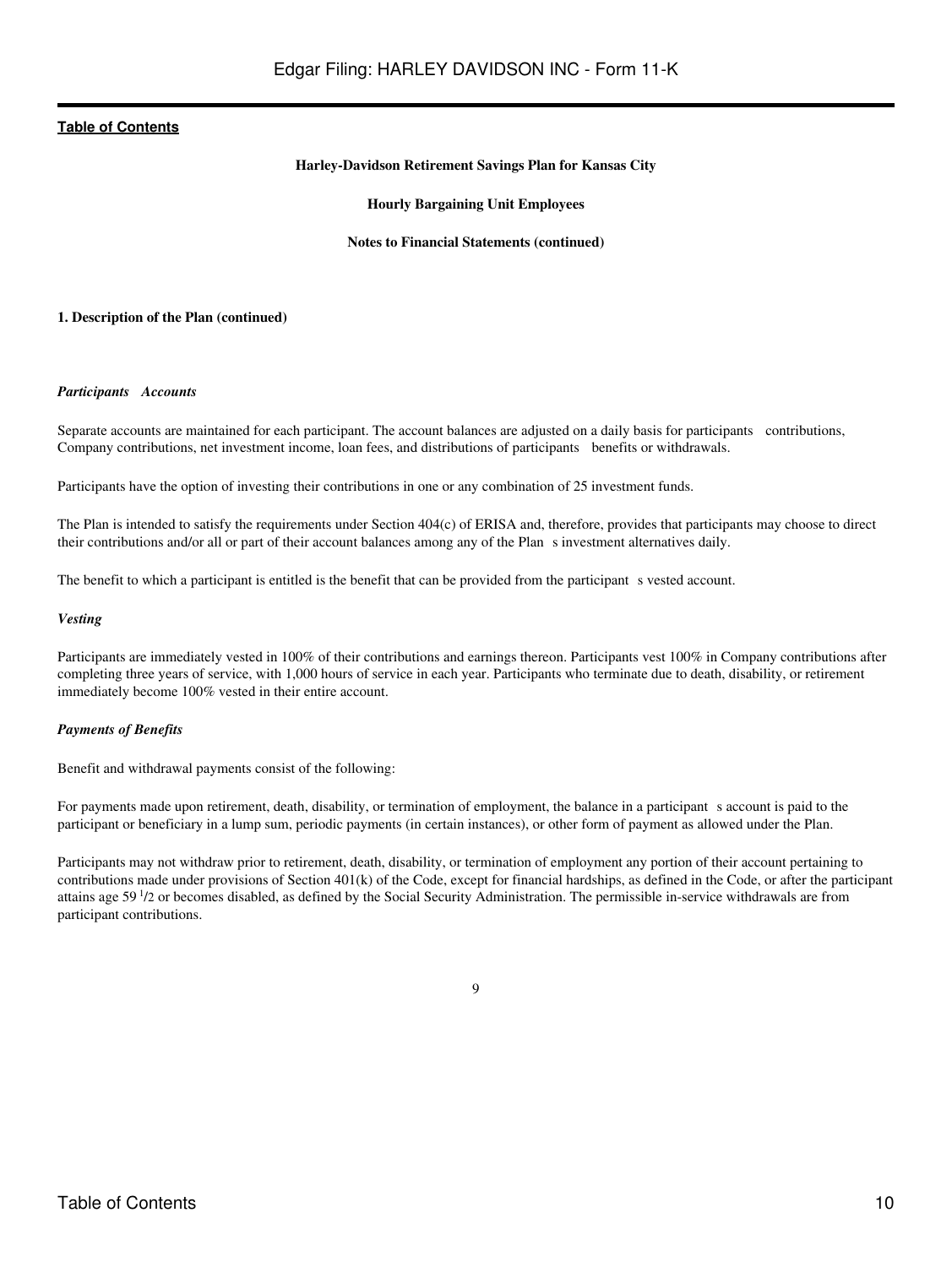#### **Harley-Davidson Retirement Savings Plan for Kansas City**

#### **Hourly Bargaining Unit Employees**

#### **Notes to Financial Statements (continued)**

#### **1. Description of the Plan (continued)**

#### *Participants Accounts*

Separate accounts are maintained for each participant. The account balances are adjusted on a daily basis for participants contributions, Company contributions, net investment income, loan fees, and distributions of participants benefits or withdrawals.

Participants have the option of investing their contributions in one or any combination of 25 investment funds.

The Plan is intended to satisfy the requirements under Section 404(c) of ERISA and, therefore, provides that participants may choose to direct their contributions and/or all or part of their account balances among any of the Plans investment alternatives daily.

The benefit to which a participant is entitled is the benefit that can be provided from the participant s vested account.

#### *Vesting*

Participants are immediately vested in 100% of their contributions and earnings thereon. Participants vest 100% in Company contributions after completing three years of service, with 1,000 hours of service in each year. Participants who terminate due to death, disability, or retirement immediately become 100% vested in their entire account.

#### *Payments of Benefits*

Benefit and withdrawal payments consist of the following:

For payments made upon retirement, death, disability, or termination of employment, the balance in a participant s account is paid to the participant or beneficiary in a lump sum, periodic payments (in certain instances), or other form of payment as allowed under the Plan.

Participants may not withdraw prior to retirement, death, disability, or termination of employment any portion of their account pertaining to contributions made under provisions of Section 401(k) of the Code, except for financial hardships, as defined in the Code, or after the participant attains age 59<sup>1</sup>/2 or becomes disabled, as defined by the Social Security Administration. The permissible in-service withdrawals are from participant contributions.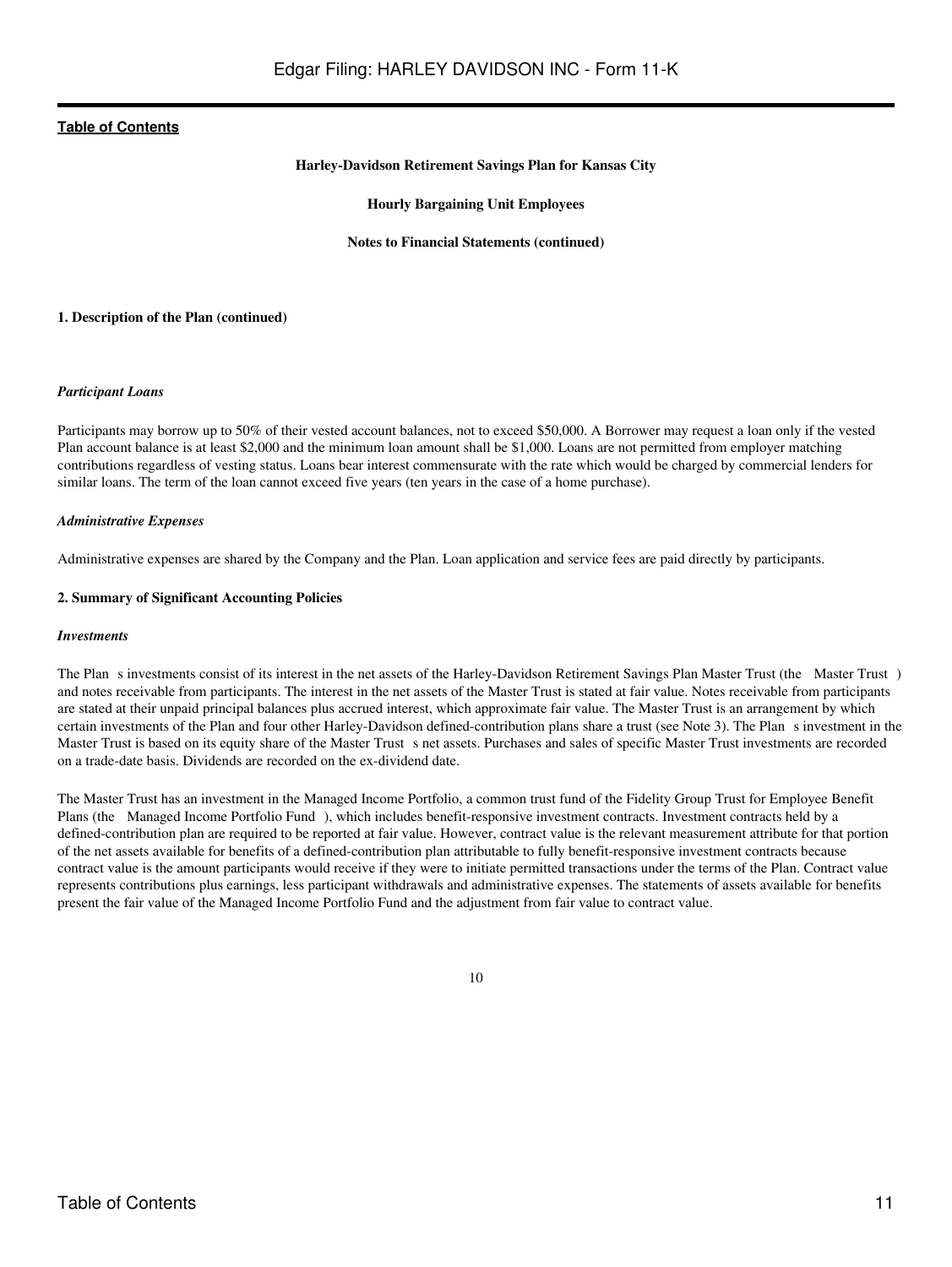#### **Harley-Davidson Retirement Savings Plan for Kansas City**

#### **Hourly Bargaining Unit Employees**

#### **Notes to Financial Statements (continued)**

#### **1. Description of the Plan (continued)**

#### *Participant Loans*

Participants may borrow up to 50% of their vested account balances, not to exceed \$50,000. A Borrower may request a loan only if the vested Plan account balance is at least \$2,000 and the minimum loan amount shall be \$1,000. Loans are not permitted from employer matching contributions regardless of vesting status. Loans bear interest commensurate with the rate which would be charged by commercial lenders for similar loans. The term of the loan cannot exceed five years (ten years in the case of a home purchase).

#### *Administrative Expenses*

Administrative expenses are shared by the Company and the Plan. Loan application and service fees are paid directly by participants.

#### **2. Summary of Significant Accounting Policies**

#### *Investments*

The Plan s investments consist of its interest in the net assets of the Harley-Davidson Retirement Savings Plan Master Trust (the Master Trust) and notes receivable from participants. The interest in the net assets of the Master Trust is stated at fair value. Notes receivable from participants are stated at their unpaid principal balances plus accrued interest, which approximate fair value. The Master Trust is an arrangement by which certain investments of the Plan and four other Harley-Davidson defined-contribution plans share a trust (see Note 3). The Plans investment in the Master Trust is based on its equity share of the Master Trust s net assets. Purchases and sales of specific Master Trust investments are recorded on a trade-date basis. Dividends are recorded on the ex-dividend date.

The Master Trust has an investment in the Managed Income Portfolio, a common trust fund of the Fidelity Group Trust for Employee Benefit Plans (the Managed Income Portfolio Fund), which includes benefit-responsive investment contracts. Investment contracts held by a defined-contribution plan are required to be reported at fair value. However, contract value is the relevant measurement attribute for that portion of the net assets available for benefits of a defined-contribution plan attributable to fully benefit-responsive investment contracts because contract value is the amount participants would receive if they were to initiate permitted transactions under the terms of the Plan. Contract value represents contributions plus earnings, less participant withdrawals and administrative expenses. The statements of assets available for benefits present the fair value of the Managed Income Portfolio Fund and the adjustment from fair value to contract value.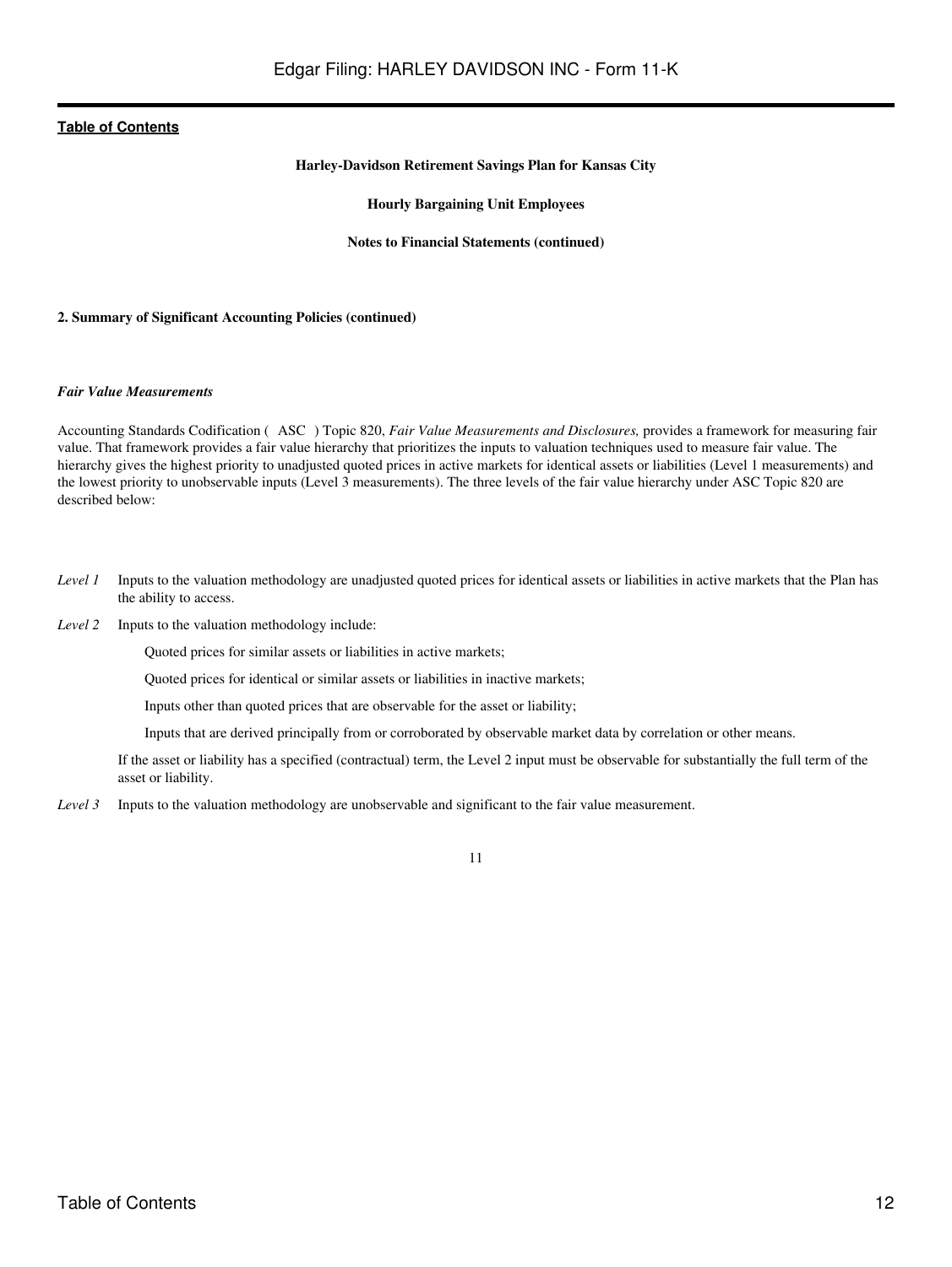#### **Harley-Davidson Retirement Savings Plan for Kansas City**

#### **Hourly Bargaining Unit Employees**

#### **Notes to Financial Statements (continued)**

#### **2. Summary of Significant Accounting Policies (continued)**

#### *Fair Value Measurements*

Accounting Standards Codification (ASC) Topic 820, *Fair Value Measurements and Disclosures,* provides a framework for measuring fair value. That framework provides a fair value hierarchy that prioritizes the inputs to valuation techniques used to measure fair value. The hierarchy gives the highest priority to unadjusted quoted prices in active markets for identical assets or liabilities (Level 1 measurements) and the lowest priority to unobservable inputs (Level 3 measurements). The three levels of the fair value hierarchy under ASC Topic 820 are described below:

- *Level 1* Inputs to the valuation methodology are unadjusted quoted prices for identical assets or liabilities in active markets that the Plan has the ability to access.
- *Level 2* Inputs to the valuation methodology include:

Quoted prices for similar assets or liabilities in active markets;

Quoted prices for identical or similar assets or liabilities in inactive markets;

Inputs other than quoted prices that are observable for the asset or liability;

Inputs that are derived principally from or corroborated by observable market data by correlation or other means.

If the asset or liability has a specified (contractual) term, the Level 2 input must be observable for substantially the full term of the asset or liability.

*Level 3* Inputs to the valuation methodology are unobservable and significant to the fair value measurement.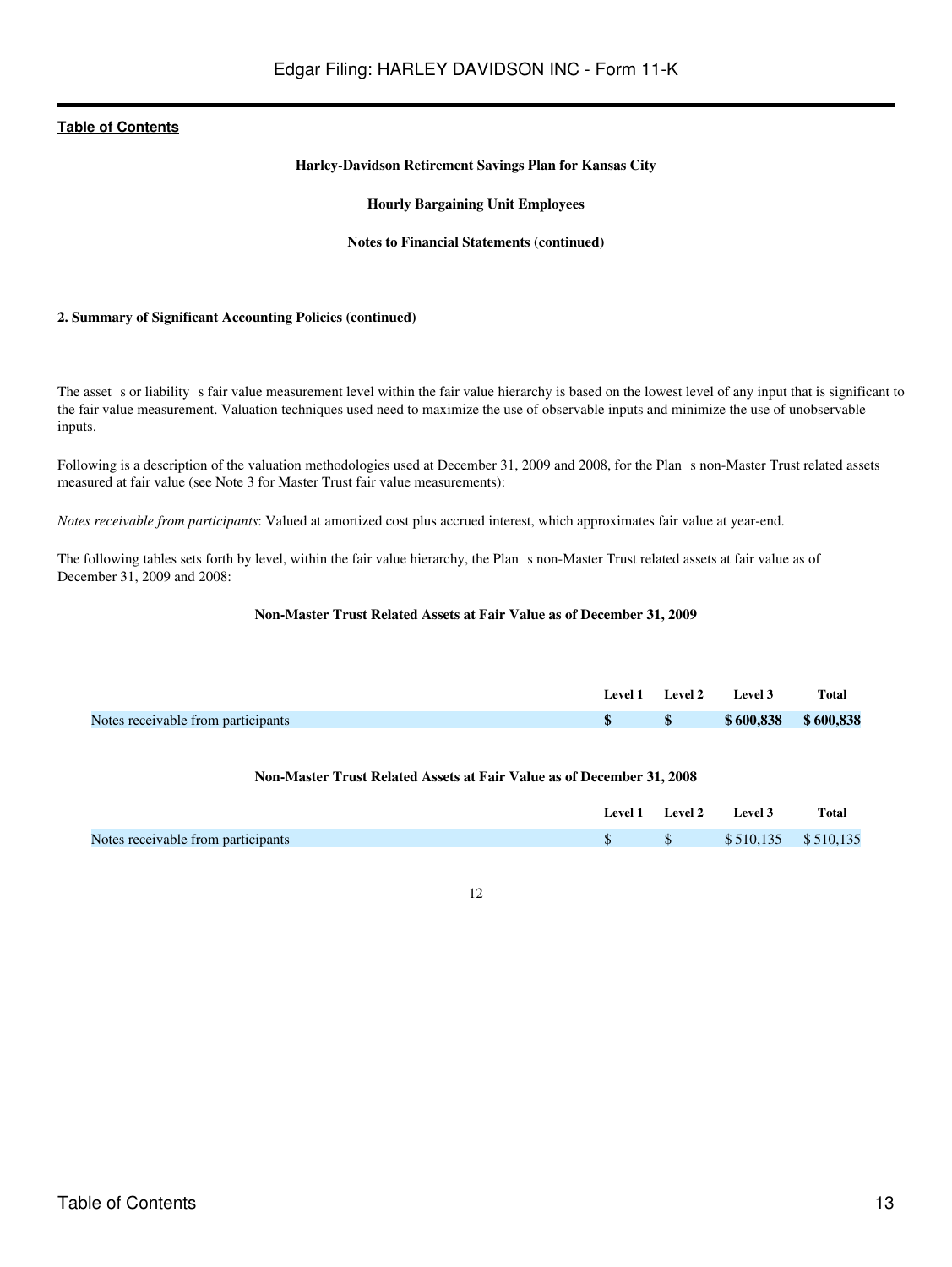#### **Harley-Davidson Retirement Savings Plan for Kansas City**

#### **Hourly Bargaining Unit Employees**

#### **Notes to Financial Statements (continued)**

#### **2. Summary of Significant Accounting Policies (continued)**

The asset s or liability s fair value measurement level within the fair value hierarchy is based on the lowest level of any input that is significant to the fair value measurement. Valuation techniques used need to maximize the use of observable inputs and minimize the use of unobservable inputs.

Following is a description of the valuation methodologies used at December 31, 2009 and 2008, for the Plan s non-Master Trust related assets measured at fair value (see Note 3 for Master Trust fair value measurements):

*Notes receivable from participants*: Valued at amortized cost plus accrued interest, which approximates fair value at year-end.

The following tables sets forth by level, within the fair value hierarchy, the Plan s non-Master Trust related assets at fair value as of December 31, 2009 and 2008:

#### **Non-Master Trust Related Assets at Fair Value as of December 31, 2009**

|                                    |  | Level 1 Level 2 Level 3 | Total |
|------------------------------------|--|-------------------------|-------|
| Notes receivable from participants |  | $$600,838$ \$600,838    |       |

#### **Non-Master Trust Related Assets at Fair Value as of December 31, 2008**

|                                    |  | Level 1 Level 2 Level 3 | Total |
|------------------------------------|--|-------------------------|-------|
| Notes receivable from participants |  | $$510,135$ \$510,135    |       |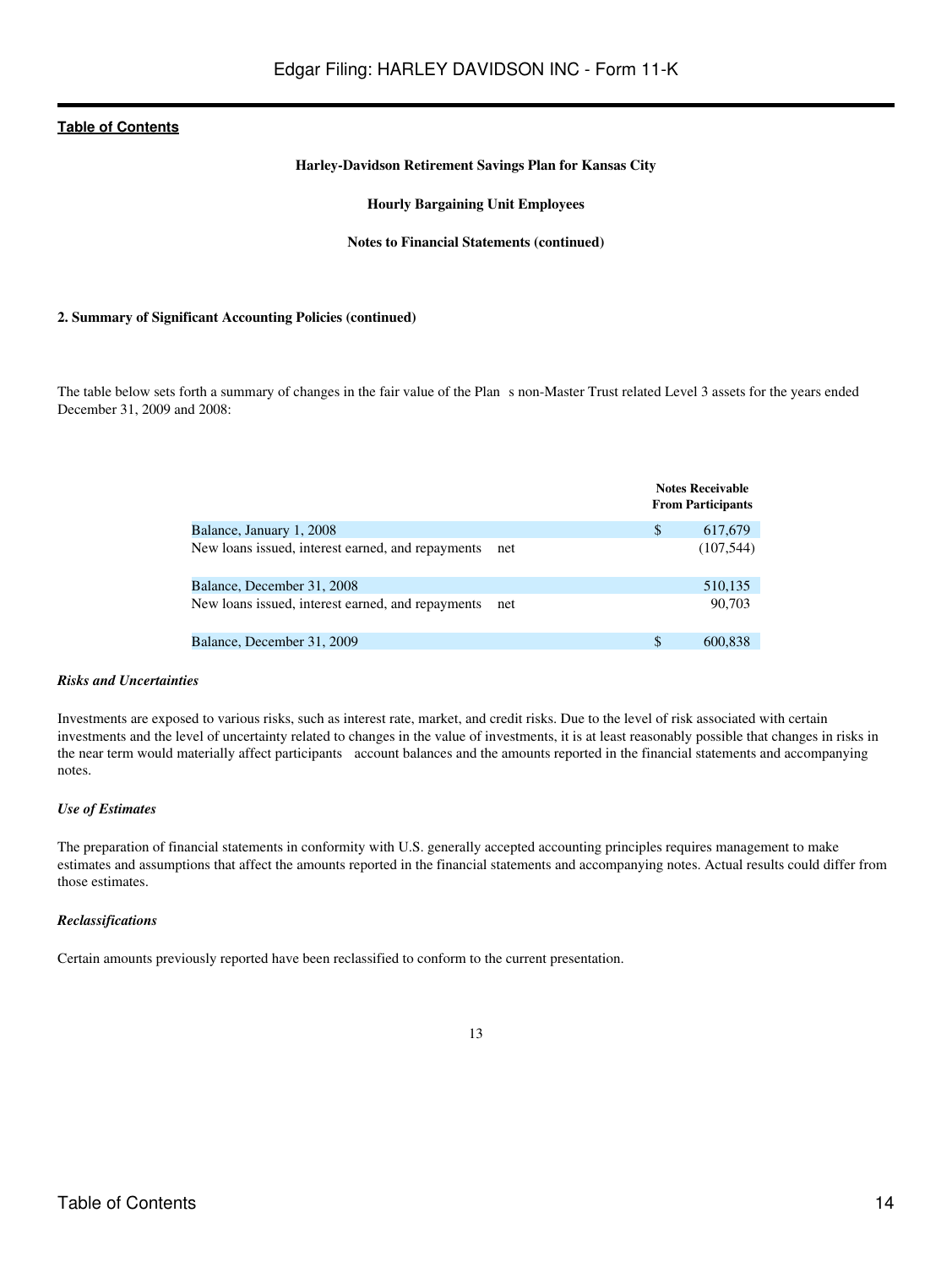#### **Harley-Davidson Retirement Savings Plan for Kansas City**

**Hourly Bargaining Unit Employees**

#### **Notes to Financial Statements (continued)**

#### **2. Summary of Significant Accounting Policies (continued)**

The table below sets forth a summary of changes in the fair value of the Plan s non-Master Trust related Level 3 assets for the years ended December 31, 2009 and 2008:

|                                                   |     | <b>Notes Receivable</b><br><b>From Participants</b> |
|---------------------------------------------------|-----|-----------------------------------------------------|
| Balance, January 1, 2008                          |     | \$<br>617,679                                       |
| New loans issued, interest earned, and repayments | net | (107,544)                                           |
| Balance, December 31, 2008                        |     | 510,135                                             |
| New loans issued, interest earned, and repayments | net | 90,703                                              |
| Balance, December 31, 2009                        |     | \$<br>600.838                                       |

#### *Risks and Uncertainties*

Investments are exposed to various risks, such as interest rate, market, and credit risks. Due to the level of risk associated with certain investments and the level of uncertainty related to changes in the value of investments, it is at least reasonably possible that changes in risks in the near term would materially affect participants account balances and the amounts reported in the financial statements and accompanying notes.

#### *Use of Estimates*

The preparation of financial statements in conformity with U.S. generally accepted accounting principles requires management to make estimates and assumptions that affect the amounts reported in the financial statements and accompanying notes. Actual results could differ from those estimates.

#### *Reclassifications*

Certain amounts previously reported have been reclassified to conform to the current presentation.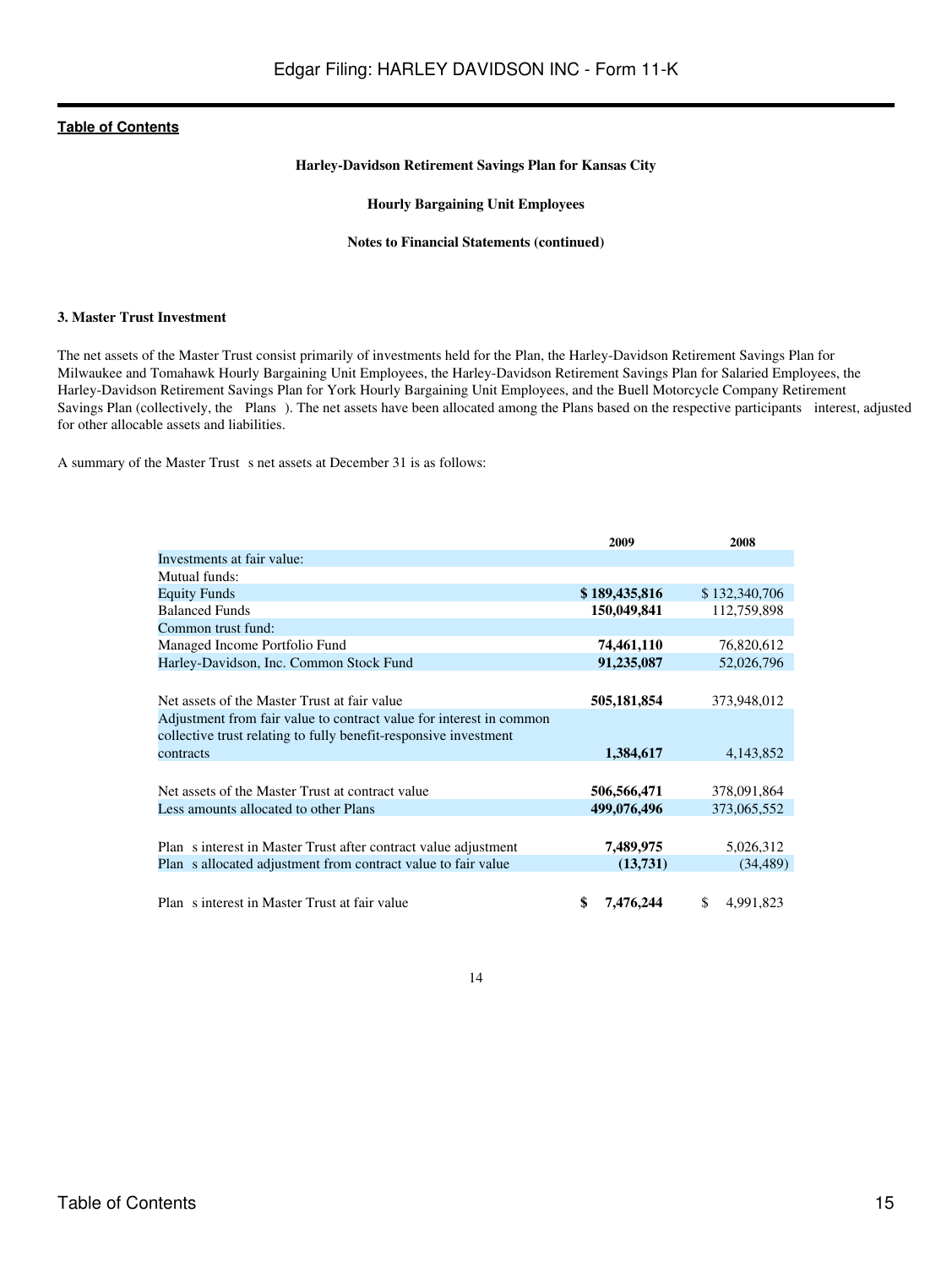#### **Harley-Davidson Retirement Savings Plan for Kansas City**

#### **Hourly Bargaining Unit Employees**

#### **Notes to Financial Statements (continued)**

#### **3. Master Trust Investment**

The net assets of the Master Trust consist primarily of investments held for the Plan, the Harley-Davidson Retirement Savings Plan for Milwaukee and Tomahawk Hourly Bargaining Unit Employees, the Harley-Davidson Retirement Savings Plan for Salaried Employees, the Harley-Davidson Retirement Savings Plan for York Hourly Bargaining Unit Employees, and the Buell Motorcycle Company Retirement Savings Plan (collectively, the Plans). The net assets have been allocated among the Plans based on the respective participants interest, adjusted for other allocable assets and liabilities.

A summary of the Master Trust s net assets at December 31 is as follows:

|                                                                     | 2009          | 2008             |
|---------------------------------------------------------------------|---------------|------------------|
| Investments at fair value:                                          |               |                  |
| Mutual funds:                                                       |               |                  |
| <b>Equity Funds</b>                                                 | \$189,435,816 | \$132,340,706    |
| <b>Balanced Funds</b>                                               | 150,049,841   | 112,759,898      |
| Common trust fund:                                                  |               |                  |
| Managed Income Portfolio Fund                                       | 74,461,110    | 76,820,612       |
| Harley-Davidson, Inc. Common Stock Fund                             | 91,235,087    | 52,026,796       |
|                                                                     |               |                  |
| Net assets of the Master Trust at fair value                        | 505,181,854   | 373,948,012      |
| Adjustment from fair value to contract value for interest in common |               |                  |
| collective trust relating to fully benefit-responsive investment    |               |                  |
| contracts                                                           | 1,384,617     | 4,143,852        |
|                                                                     |               |                  |
| Net assets of the Master Trust at contract value                    | 506,566,471   | 378,091,864      |
| Less amounts allocated to other Plans                               | 499,076,496   | 373,065,552      |
|                                                                     |               |                  |
| Plan s interest in Master Trust after contract value adjustment     | 7,489,975     | 5,026,312        |
| Plan s allocated adjustment from contract value to fair value       | (13,731)      | (34, 489)        |
|                                                                     |               |                  |
| Plan s interest in Master Trust at fair value                       | 7,476,244     | \$.<br>4,991,823 |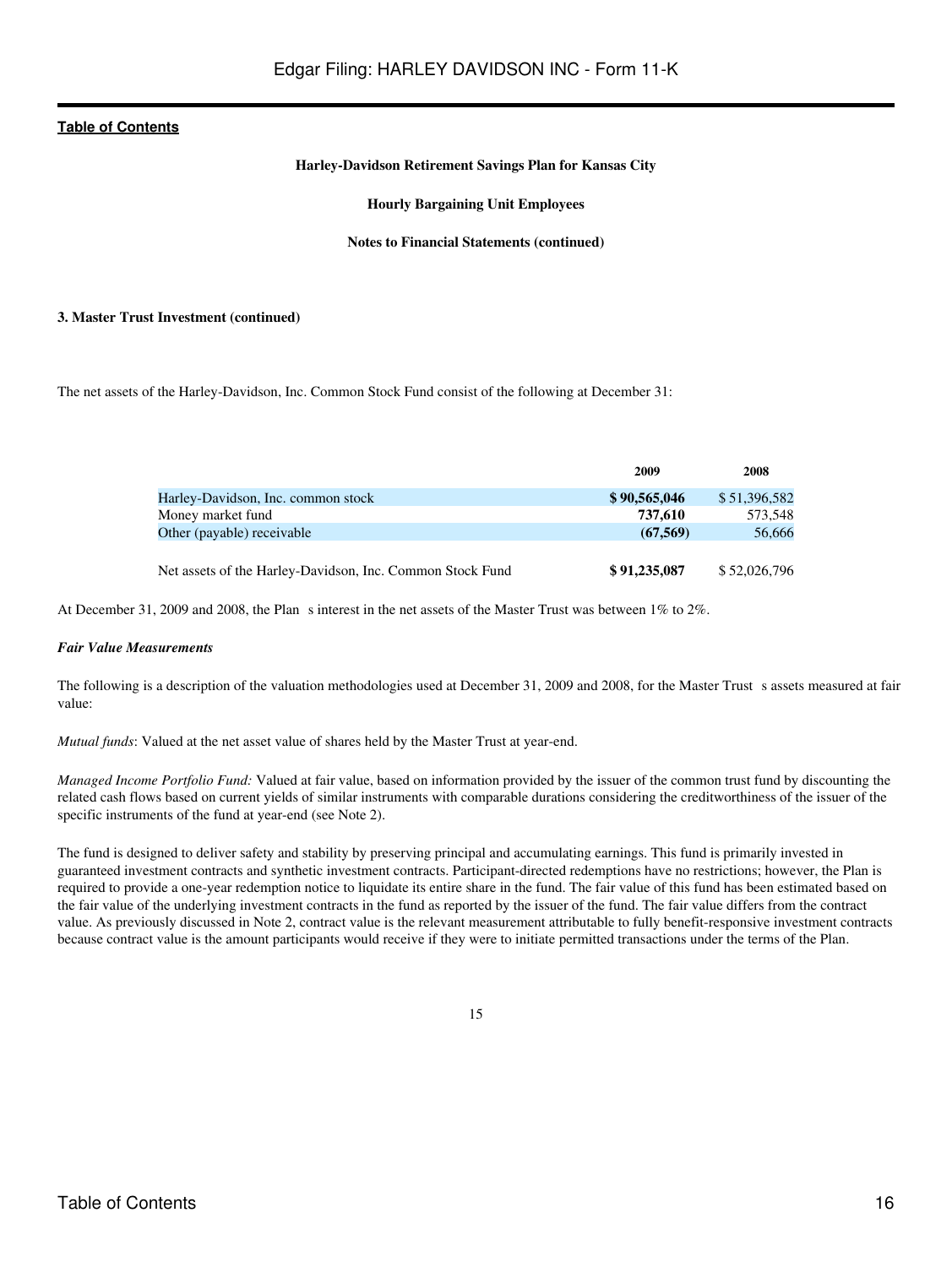#### **Harley-Davidson Retirement Savings Plan for Kansas City**

#### **Hourly Bargaining Unit Employees**

#### **Notes to Financial Statements (continued)**

#### **3. Master Trust Investment (continued)**

The net assets of the Harley-Davidson, Inc. Common Stock Fund consist of the following at December 31:

|                                                           | 2009         | 2008         |
|-----------------------------------------------------------|--------------|--------------|
| Harley-Davidson, Inc. common stock                        | \$90,565,046 | \$51,396,582 |
| Money market fund                                         | 737.610      | 573.548      |
| Other (payable) receivable                                | (67.569)     | 56,666       |
|                                                           |              |              |
| Net assets of the Harley-Davidson, Inc. Common Stock Fund | \$91,235,087 | \$52,026,796 |

At December 31, 2009 and 2008, the Plan s interest in the net assets of the Master Trust was between 1% to 2%.

#### *Fair Value Measurements*

The following is a description of the valuation methodologies used at December 31, 2009 and 2008, for the Master Trust s assets measured at fair value:

*Mutual funds*: Valued at the net asset value of shares held by the Master Trust at year-end.

*Managed Income Portfolio Fund:* Valued at fair value, based on information provided by the issuer of the common trust fund by discounting the related cash flows based on current yields of similar instruments with comparable durations considering the creditworthiness of the issuer of the specific instruments of the fund at year-end (see Note 2).

The fund is designed to deliver safety and stability by preserving principal and accumulating earnings. This fund is primarily invested in guaranteed investment contracts and synthetic investment contracts. Participant-directed redemptions have no restrictions; however, the Plan is required to provide a one-year redemption notice to liquidate its entire share in the fund. The fair value of this fund has been estimated based on the fair value of the underlying investment contracts in the fund as reported by the issuer of the fund. The fair value differs from the contract value. As previously discussed in Note 2, contract value is the relevant measurement attributable to fully benefit-responsive investment contracts because contract value is the amount participants would receive if they were to initiate permitted transactions under the terms of the Plan.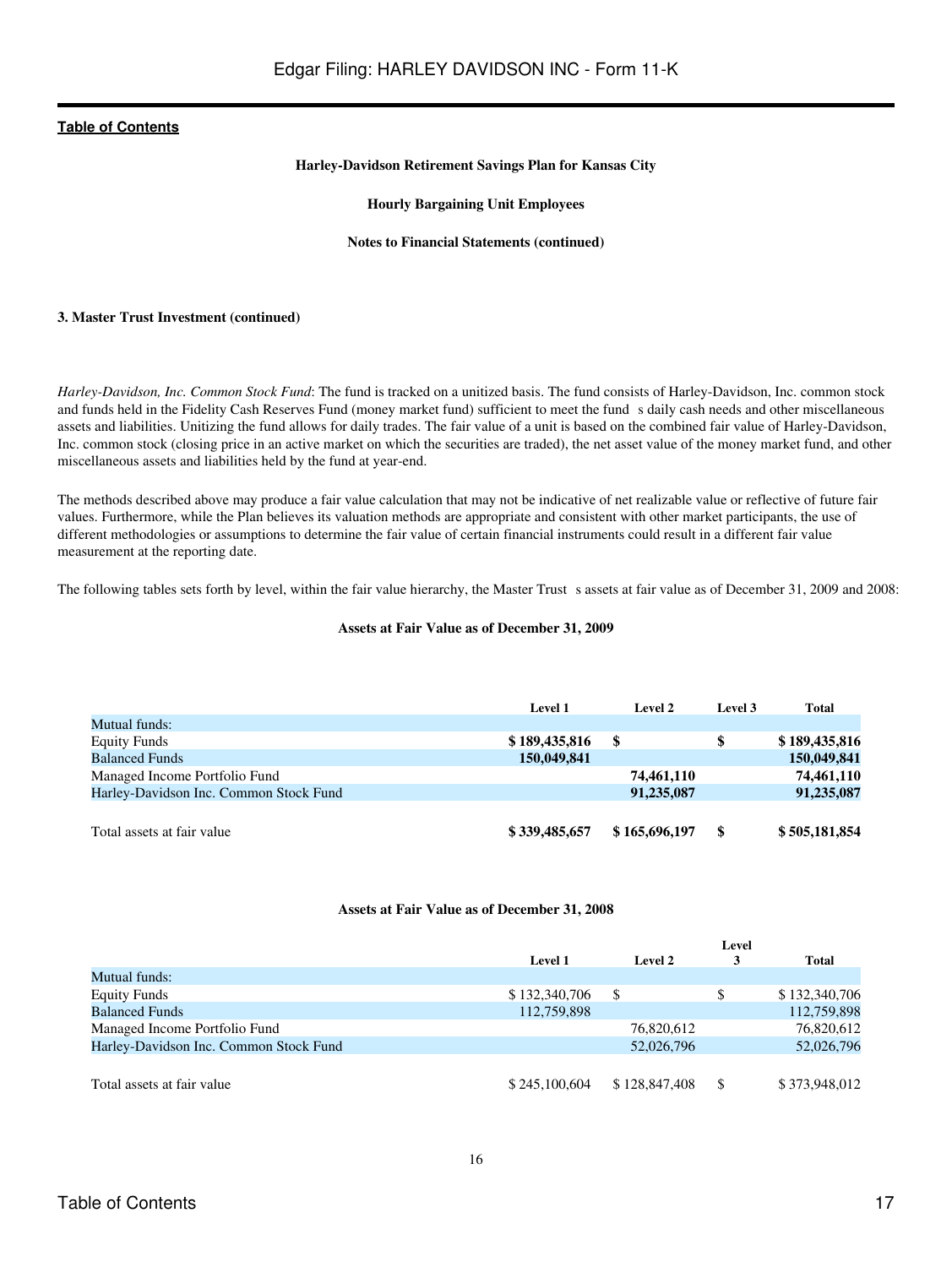#### **Harley-Davidson Retirement Savings Plan for Kansas City**

#### **Hourly Bargaining Unit Employees**

#### **Notes to Financial Statements (continued)**

#### **3. Master Trust Investment (continued)**

*Harley-Davidson, Inc. Common Stock Fund*: The fund is tracked on a unitized basis. The fund consists of Harley-Davidson, Inc. common stock and funds held in the Fidelity Cash Reserves Fund (money market fund) sufficient to meet the fund s daily cash needs and other miscellaneous assets and liabilities. Unitizing the fund allows for daily trades. The fair value of a unit is based on the combined fair value of Harley-Davidson, Inc. common stock (closing price in an active market on which the securities are traded), the net asset value of the money market fund, and other miscellaneous assets and liabilities held by the fund at year-end.

The methods described above may produce a fair value calculation that may not be indicative of net realizable value or reflective of future fair values. Furthermore, while the Plan believes its valuation methods are appropriate and consistent with other market participants, the use of different methodologies or assumptions to determine the fair value of certain financial instruments could result in a different fair value measurement at the reporting date.

The following tables sets forth by level, within the fair value hierarchy, the Master Trust s assets at fair value as of December 31, 2009 and 2008:

#### **Assets at Fair Value as of December 31, 2009**

|                                        | Level 1       | Level 2       | Level 3 | <b>Total</b>  |
|----------------------------------------|---------------|---------------|---------|---------------|
| Mutual funds:                          |               |               |         |               |
| <b>Equity Funds</b>                    | \$189,435,816 | -SS           | S       | \$189,435,816 |
| <b>Balanced Funds</b>                  | 150,049,841   |               |         | 150,049,841   |
| Managed Income Portfolio Fund          |               | 74,461,110    |         | 74,461,110    |
| Harley-Davidson Inc. Common Stock Fund |               | 91,235,087    |         | 91,235,087    |
|                                        |               |               |         |               |
| Total assets at fair value             | \$339,485,657 | \$165,696,197 |         | \$505,181,854 |

#### **Assets at Fair Value as of December 31, 2008**

|                                        | Level          |               |   |               |  |  |
|----------------------------------------|----------------|---------------|---|---------------|--|--|
|                                        | <b>Level 1</b> | Level 2       | 3 | Total         |  |  |
| Mutual funds:                          |                |               |   |               |  |  |
| <b>Equity Funds</b>                    | \$132,340,706  |               |   | \$132,340,706 |  |  |
| <b>Balanced Funds</b>                  | 112,759,898    |               |   | 112,759,898   |  |  |
| Managed Income Portfolio Fund          |                | 76,820,612    |   | 76,820,612    |  |  |
| Harley-Davidson Inc. Common Stock Fund |                | 52,026,796    |   | 52,026,796    |  |  |
|                                        |                |               |   |               |  |  |
| Total assets at fair value             | \$245,100,604  | \$128,847,408 |   | \$373,948,012 |  |  |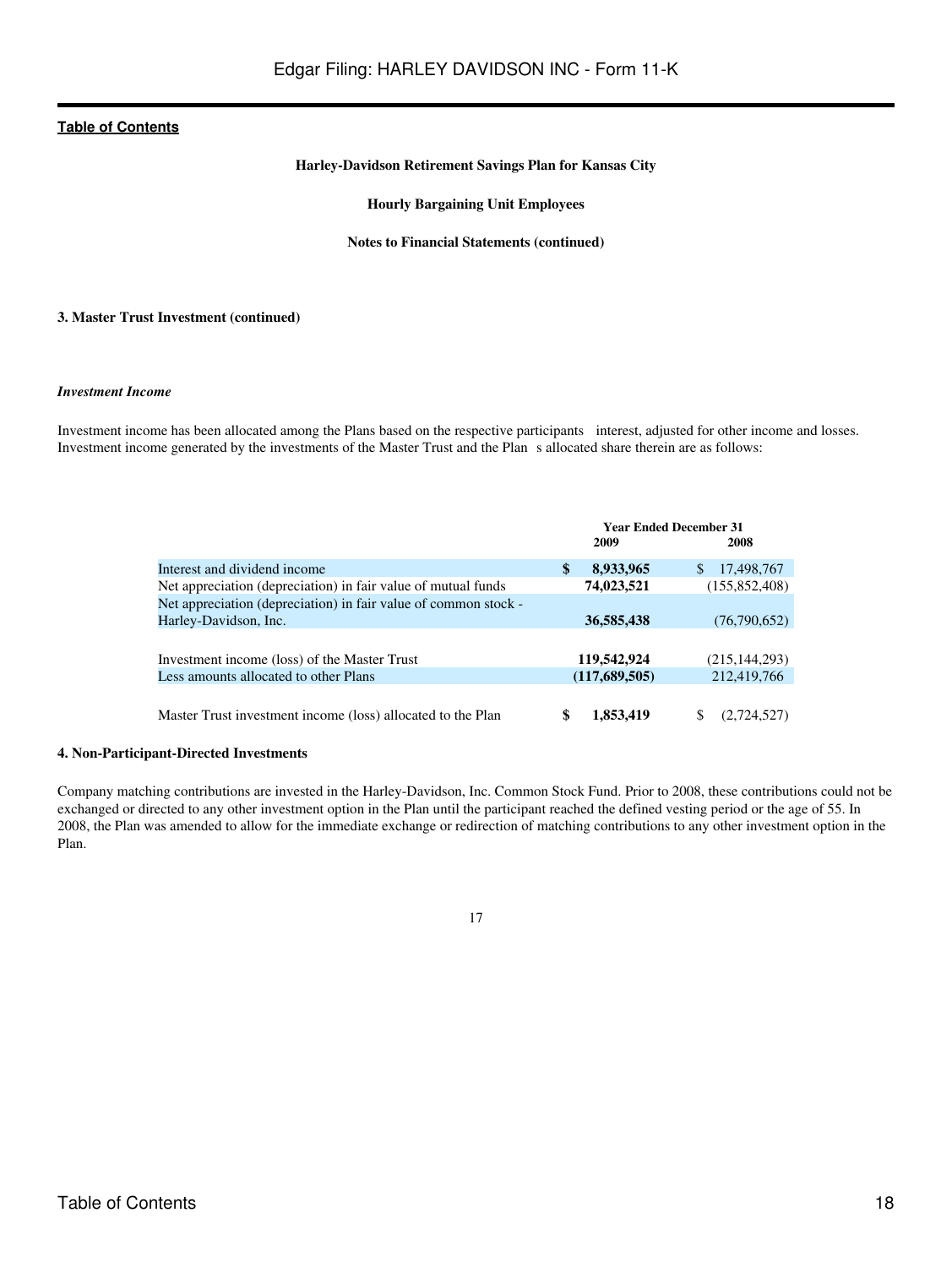#### **Harley-Davidson Retirement Savings Plan for Kansas City**

#### **Hourly Bargaining Unit Employees**

#### **Notes to Financial Statements (continued)**

#### **3. Master Trust Investment (continued)**

#### *Investment Income*

Investment income has been allocated among the Plans based on the respective participants interest, adjusted for other income and losses. Investment income generated by the investments of the Master Trust and the Plans allocated share therein are as follows:

|                                                                 | <b>Year Ended December 31</b> |                   |  |
|-----------------------------------------------------------------|-------------------------------|-------------------|--|
|                                                                 | 2009                          | 2008              |  |
| Interest and dividend income                                    | 8,933,965<br>\$               | 17,498,767<br>\$. |  |
| Net appreciation (depreciation) in fair value of mutual funds   | 74,023,521                    | (155, 852, 408)   |  |
| Net appreciation (depreciation) in fair value of common stock - |                               |                   |  |
| Harley-Davidson, Inc.                                           | 36,585,438                    | (76,790,652)      |  |
|                                                                 |                               |                   |  |
| Investment income (loss) of the Master Trust                    | 119,542,924                   | (215, 144, 293)   |  |
| Less amounts allocated to other Plans                           | (117,689,505)                 | 212,419,766       |  |
|                                                                 |                               |                   |  |
| Master Trust investment income (loss) allocated to the Plan     | \$<br>1,853,419               | S<br>(2,724,527)  |  |

#### **4. Non-Participant-Directed Investments**

Company matching contributions are invested in the Harley-Davidson, Inc. Common Stock Fund. Prior to 2008, these contributions could not be exchanged or directed to any other investment option in the Plan until the participant reached the defined vesting period or the age of 55. In 2008, the Plan was amended to allow for the immediate exchange or redirection of matching contributions to any other investment option in the Plan.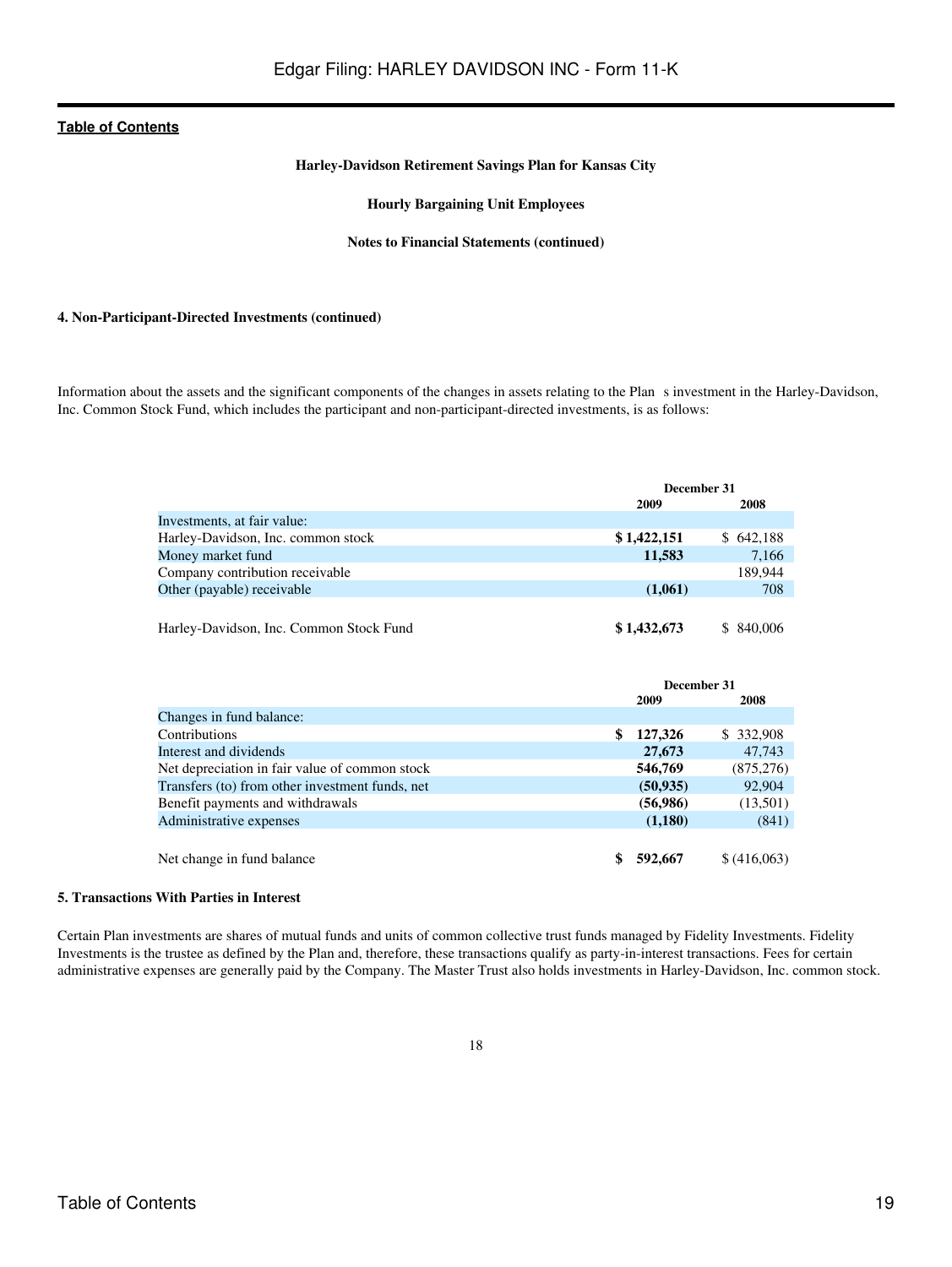#### **Harley-Davidson Retirement Savings Plan for Kansas City**

#### **Hourly Bargaining Unit Employees**

#### **Notes to Financial Statements (continued)**

#### **4. Non-Participant-Directed Investments (continued)**

Information about the assets and the significant components of the changes in assets relating to the Plans investment in the Harley-Davidson, Inc. Common Stock Fund, which includes the participant and non-participant-directed investments, is as follows:

|                                         | December 31 |           |  |
|-----------------------------------------|-------------|-----------|--|
|                                         | 2009        | 2008      |  |
| Investments, at fair value:             |             |           |  |
| Harley-Davidson, Inc. common stock      | \$1,422,151 | \$642,188 |  |
| Money market fund                       | 11,583      | 7.166     |  |
| Company contribution receivable         |             | 189.944   |  |
| Other (payable) receivable              | (1,061)     | 708       |  |
|                                         |             |           |  |
| Harley-Davidson, Inc. Common Stock Fund | \$1,432,673 | \$840,006 |  |

|                                                 | December 31   |              |
|-------------------------------------------------|---------------|--------------|
|                                                 | 2009          | 2008         |
| Changes in fund balance:                        |               |              |
| Contributions                                   | \$<br>127,326 | \$ 332,908   |
| Interest and dividends                          | 27,673        | 47,743       |
| Net depreciation in fair value of common stock  | 546,769       | (875, 276)   |
| Transfers (to) from other investment funds, net | (50, 935)     | 92,904       |
| Benefit payments and withdrawals                | (56,986)      | (13,501)     |
| Administrative expenses                         | (1,180)       | (841)        |
| Net change in fund balance                      | 592,667       | \$ (416,063) |

#### **5. Transactions With Parties in Interest**

Certain Plan investments are shares of mutual funds and units of common collective trust funds managed by Fidelity Investments. Fidelity Investments is the trustee as defined by the Plan and, therefore, these transactions qualify as party-in-interest transactions. Fees for certain administrative expenses are generally paid by the Company. The Master Trust also holds investments in Harley-Davidson, Inc. common stock.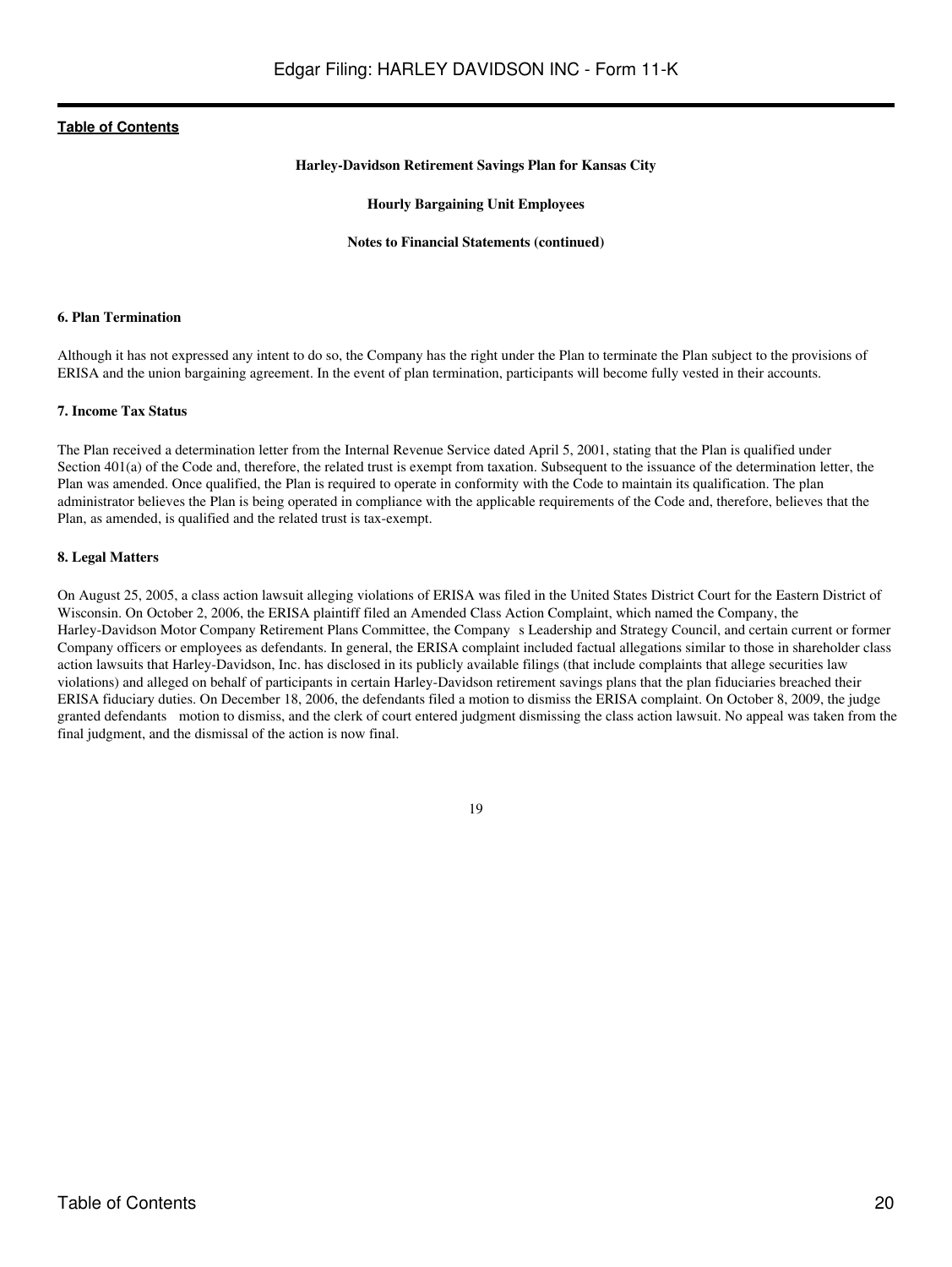#### **Harley-Davidson Retirement Savings Plan for Kansas City**

#### **Hourly Bargaining Unit Employees**

#### **Notes to Financial Statements (continued)**

#### **6. Plan Termination**

Although it has not expressed any intent to do so, the Company has the right under the Plan to terminate the Plan subject to the provisions of ERISA and the union bargaining agreement. In the event of plan termination, participants will become fully vested in their accounts.

#### **7. Income Tax Status**

The Plan received a determination letter from the Internal Revenue Service dated April 5, 2001, stating that the Plan is qualified under Section 401(a) of the Code and, therefore, the related trust is exempt from taxation. Subsequent to the issuance of the determination letter, the Plan was amended. Once qualified, the Plan is required to operate in conformity with the Code to maintain its qualification. The plan administrator believes the Plan is being operated in compliance with the applicable requirements of the Code and, therefore, believes that the Plan, as amended, is qualified and the related trust is tax-exempt.

#### **8. Legal Matters**

On August 25, 2005, a class action lawsuit alleging violations of ERISA was filed in the United States District Court for the Eastern District of Wisconsin. On October 2, 2006, the ERISA plaintiff filed an Amended Class Action Complaint, which named the Company, the Harley-Davidson Motor Company Retirement Plans Committee, the Company s Leadership and Strategy Council, and certain current or former Company officers or employees as defendants. In general, the ERISA complaint included factual allegations similar to those in shareholder class action lawsuits that Harley-Davidson, Inc. has disclosed in its publicly available filings (that include complaints that allege securities law violations) and alleged on behalf of participants in certain Harley-Davidson retirement savings plans that the plan fiduciaries breached their ERISA fiduciary duties. On December 18, 2006, the defendants filed a motion to dismiss the ERISA complaint. On October 8, 2009, the judge granted defendants motion to dismiss, and the clerk of court entered judgment dismissing the class action lawsuit. No appeal was taken from the final judgment, and the dismissal of the action is now final.

<sup>19</sup>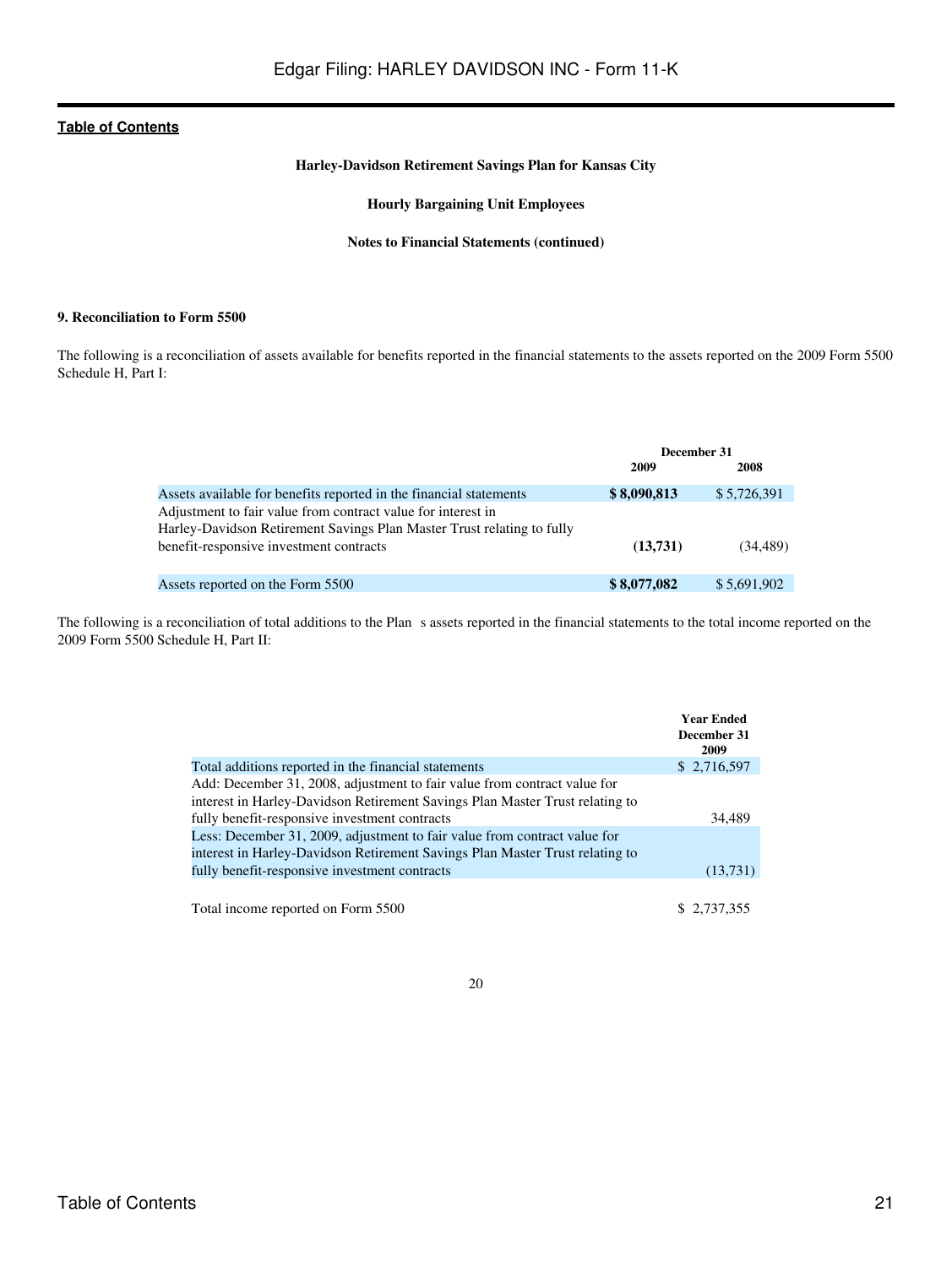# **Harley-Davidson Retirement Savings Plan for Kansas City**

# **Hourly Bargaining Unit Employees**

#### **Notes to Financial Statements (continued)**

### **9. Reconciliation to Form 5500**

The following is a reconciliation of assets available for benefits reported in the financial statements to the assets reported on the 2009 Form 5500 Schedule H, Part I:

|                                                                        | December 31 |             |
|------------------------------------------------------------------------|-------------|-------------|
|                                                                        | 2009        | 2008        |
| Assets available for benefits reported in the financial statements     | \$8,090,813 | \$5,726,391 |
| Adjustment to fair value from contract value for interest in           |             |             |
| Harley-Davidson Retirement Savings Plan Master Trust relating to fully |             |             |
| benefit-responsive investment contracts                                | (13,731)    | (34.489)    |
|                                                                        |             |             |
| Assets reported on the Form 5500                                       | \$8,077,082 | \$5,691,902 |

The following is a reconciliation of total additions to the Plan s assets reported in the financial statements to the total income reported on the 2009 Form 5500 Schedule H, Part II:

|                                                                              | <b>Year Ended</b><br>December 31<br>2009 |
|------------------------------------------------------------------------------|------------------------------------------|
| Total additions reported in the financial statements                         | \$2,716,597                              |
| Add: December 31, 2008, adjustment to fair value from contract value for     |                                          |
| interest in Harley-Davidson Retirement Savings Plan Master Trust relating to |                                          |
| fully benefit-responsive investment contracts                                | 34,489                                   |
| Less: December 31, 2009, adjustment to fair value from contract value for    |                                          |
| interest in Harley-Davidson Retirement Savings Plan Master Trust relating to |                                          |
| fully benefit-responsive investment contracts                                | (13,731)                                 |
|                                                                              |                                          |
| Total income reported on Form 5500                                           | \$2.737.355                              |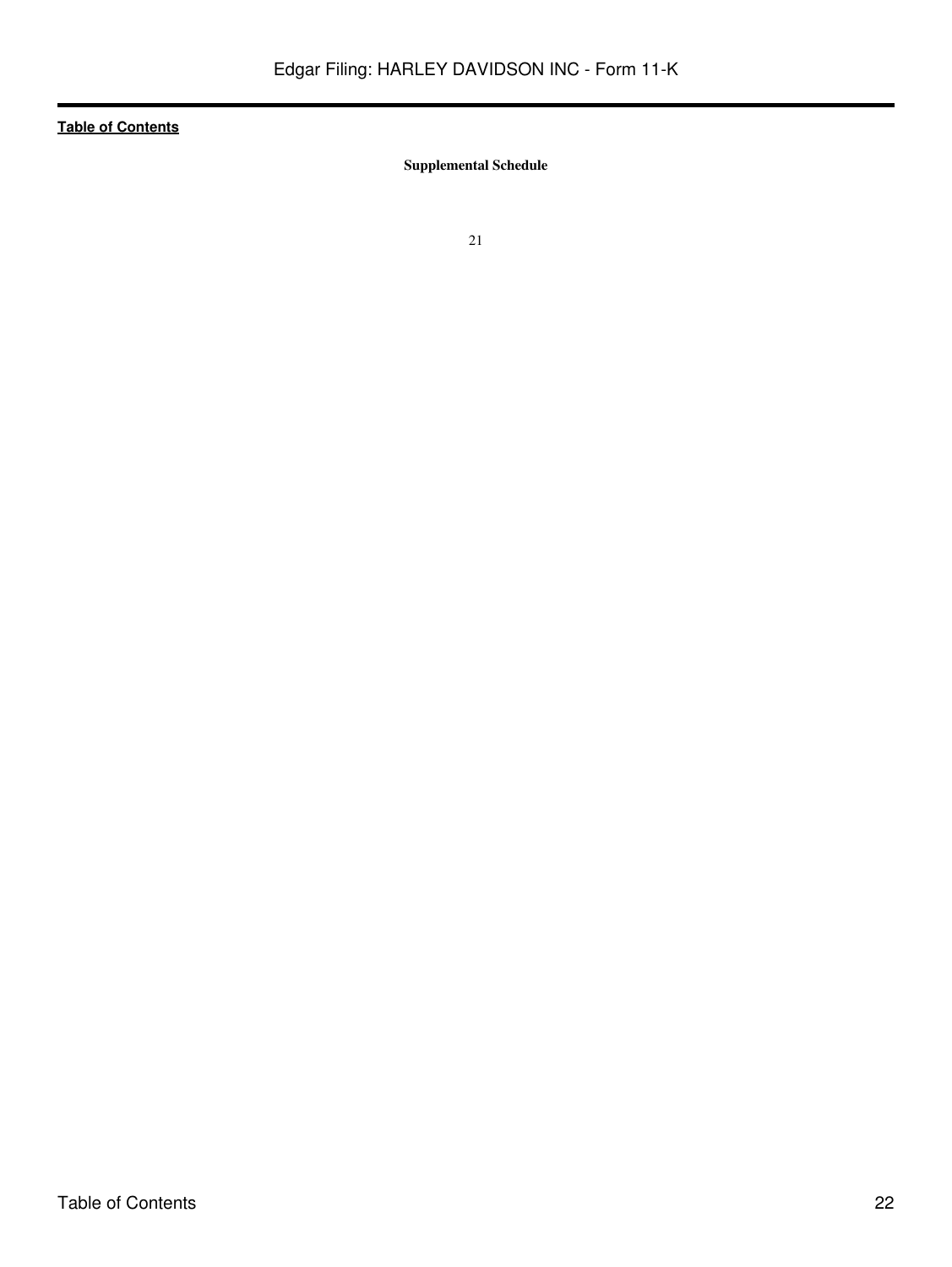<span id="page-21-0"></span>**Supplemental Schedule**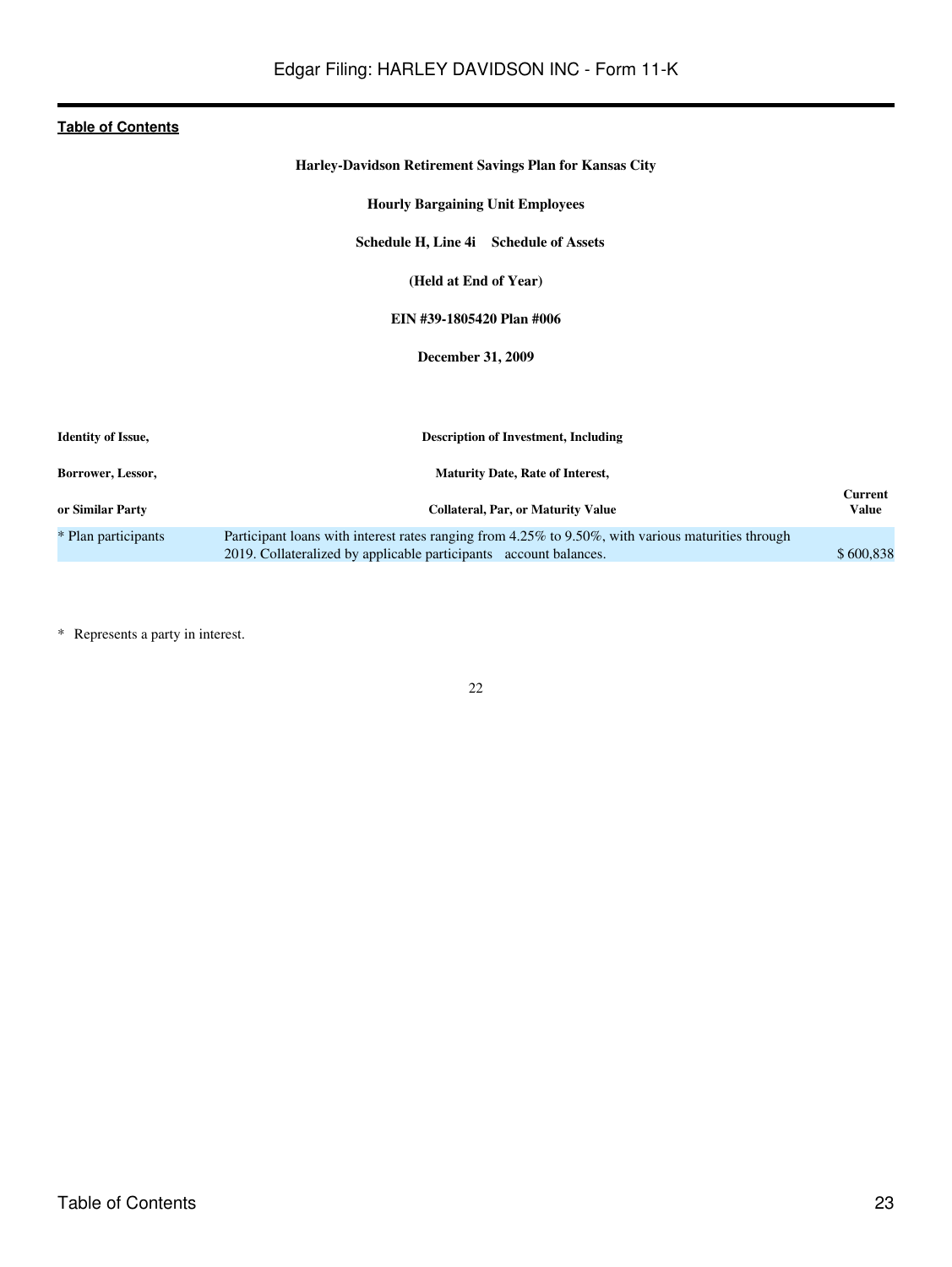# **Harley-Davidson Retirement Savings Plan for Kansas City**

**Hourly Bargaining Unit Employees**

**Schedule H, Line 4i Schedule of Assets**

**(Held at End of Year)**

# **EIN #39-1805420 Plan #006**

**December 31, 2009**

<span id="page-22-0"></span>

| <b>Identity of Issue,</b> | <b>Description of Investment, Including</b>                                                                                                                             |                  |
|---------------------------|-------------------------------------------------------------------------------------------------------------------------------------------------------------------------|------------------|
| Borrower, Lessor,         | <b>Maturity Date, Rate of Interest,</b>                                                                                                                                 |                  |
| or Similar Party          | <b>Collateral, Par, or Maturity Value</b>                                                                                                                               | Current<br>Value |
| * Plan participants       | Participant loans with interest rates ranging from 4.25% to 9.50%, with various maturities through<br>2019. Collateralized by applicable participants account balances. | \$600.838        |

\* Represents a party in interest.